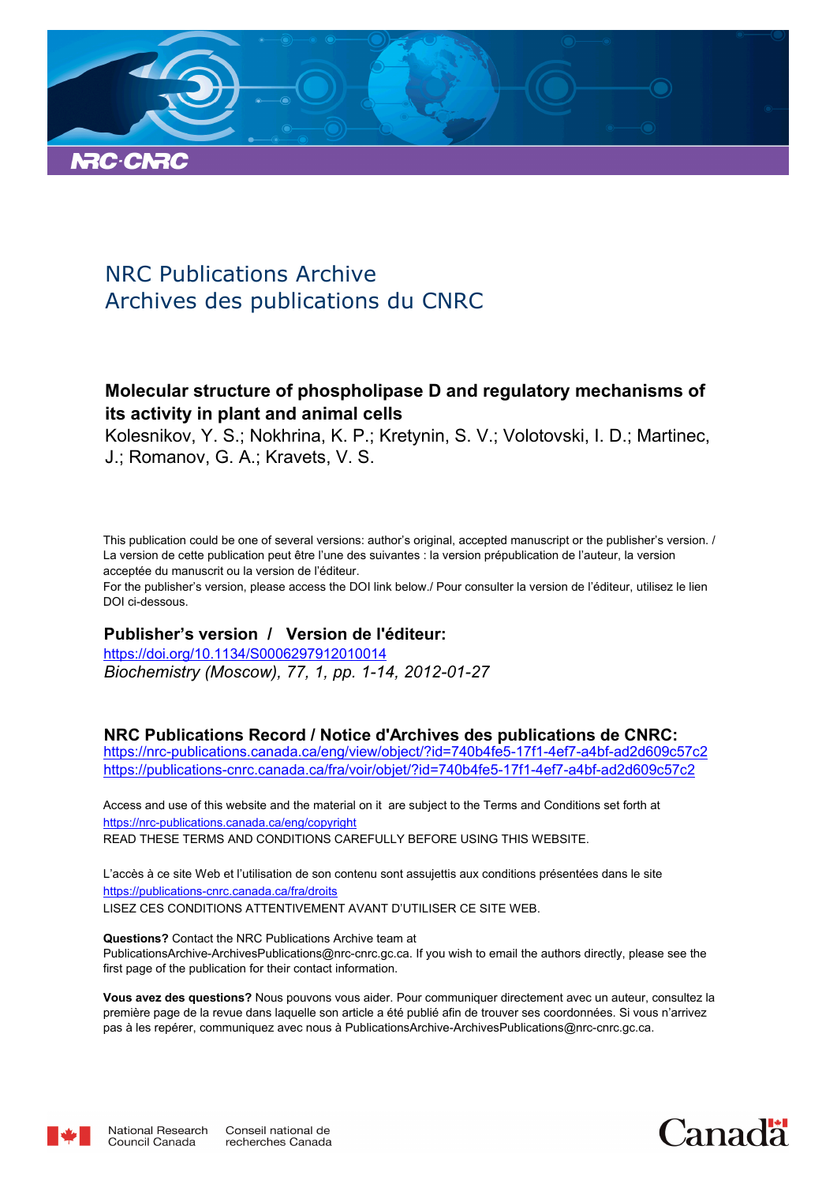

# NRC Publications Archive Archives des publications du CNRC

# **Molecular structure of phospholipase D and regulatory mechanisms of its activity in plant and animal cells**

Kolesnikov, Y. S.; Nokhrina, K. P.; Kretynin, S. V.; Volotovski, I. D.; Martinec, J.; Romanov, G. A.; Kravets, V. S.

This publication could be one of several versions: author's original, accepted manuscript or the publisher's version. / La version de cette publication peut être l'une des suivantes : la version prépublication de l'auteur, la version acceptée du manuscrit ou la version de l'éditeur.

For the publisher's version, please access the DOI link below./ Pour consulter la version de l'éditeur, utilisez le lien DOI ci-dessous.

## **Publisher's version / Version de l'éditeur:**

*Biochemistry (Moscow), 77, 1, pp. 1-14, 2012-01-27* https://doi.org/10.1134/S0006297912010014

## **NRC Publications Record / Notice d'Archives des publications de CNRC:**

https://nrc-publications.canada.ca/eng/view/object/?id=740b4fe5-17f1-4ef7-a4bf-ad2d609c57c2 https://publications-cnrc.canada.ca/fra/voir/objet/?id=740b4fe5-17f1-4ef7-a4bf-ad2d609c57c2

READ THESE TERMS AND CONDITIONS CAREFULLY BEFORE USING THIS WEBSITE. https://nrc-publications.canada.ca/eng/copyright Access and use of this website and the material on it are subject to the Terms and Conditions set forth at

https://publications-cnrc.canada.ca/fra/droits L'accès à ce site Web et l'utilisation de son contenu sont assujettis aux conditions présentées dans le site LISEZ CES CONDITIONS ATTENTIVEMENT AVANT D'UTILISER CE SITE WEB.

**Questions?** Contact the NRC Publications Archive team at PublicationsArchive-ArchivesPublications@nrc-cnrc.gc.ca. If you wish to email the authors directly, please see the first page of the publication for their contact information.

**Vous avez des questions?** Nous pouvons vous aider. Pour communiquer directement avec un auteur, consultez la première page de la revue dans laquelle son article a été publié afin de trouver ses coordonnées. Si vous n'arrivez pas à les repérer, communiquez avec nous à PublicationsArchive-ArchivesPublications@nrc-cnrc.gc.ca.



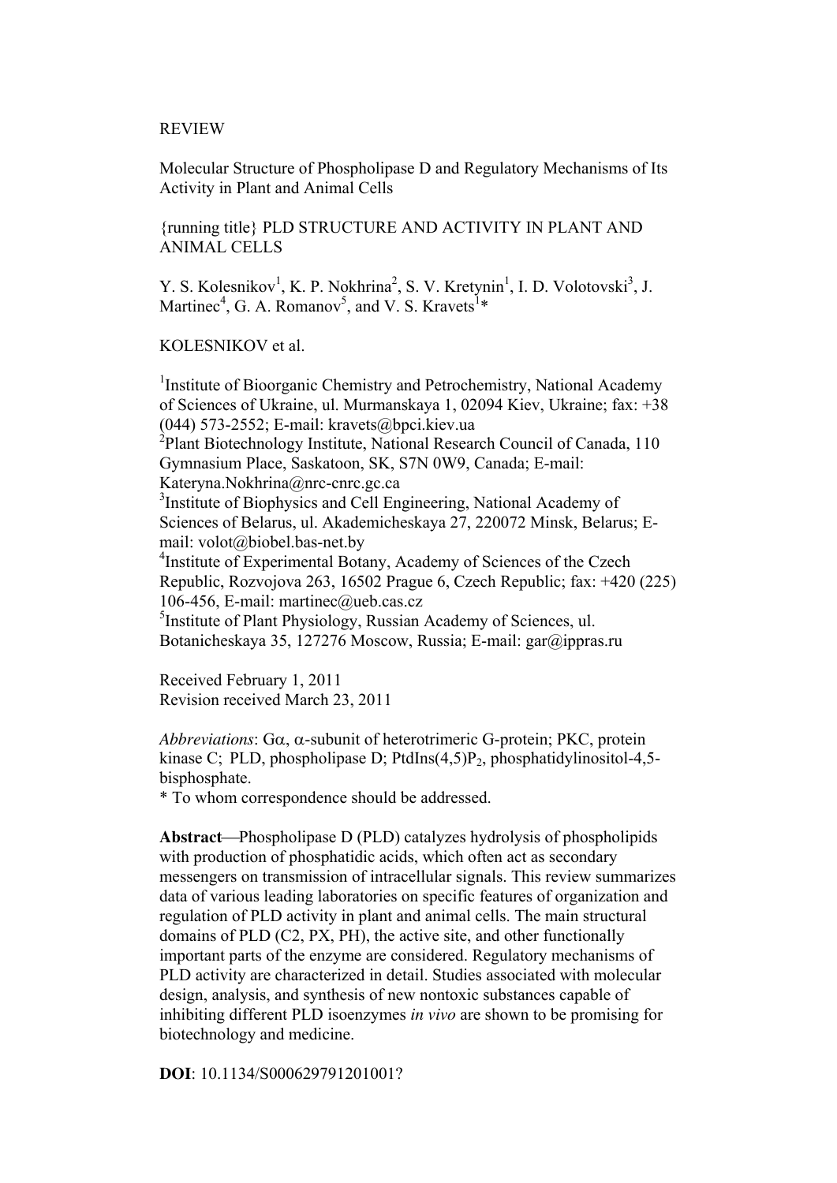#### REVIEW

Molecular Structure of Phospholipase D and Regulatory Mechanisms of Its Activity in Plant and Animal Cells

{running title} PLD STRUCTURE AND ACTIVITY IN PLANT AND ANIMAL CELLS

Y. S. Kolesnikov<sup>1</sup>, K. P. Nokhrina<sup>2</sup>, S. V. Kretynin<sup>1</sup>, I. D. Volotovski<sup>3</sup>, J. Martinec<sup>4</sup>, G. A. Romanov<sup>5</sup>, and V. S. Kravets<sup>1\*</sup>

KOLESNIKOV et al.

<sup>1</sup>Institute of Bioorganic Chemistry and Petrochemistry, National Academy of Sciences of Ukraine, ul. Murmanskaya 1, 02094 Kiev, Ukraine; fax: +38  $(044)$  573-2552; E-mail: kravets@bpci.kiev.ua <sup>2</sup>Plant Biotechnology Institute, National Research Council of Canada, 110 Gymnasium Place, Saskatoon, SK, S7N 0W9, Canada; E-mail: Kateryna.Nokhrina@nrc-cnrc.gc.ca <sup>3</sup>Institute of Biophysics and Cell Engineering, National Academy of Sciences of Belarus, ul. Akademicheskaya 27, 220072 Minsk, Belarus; Email: volot@biobel.bas-net.by 4 Institute of Experimental Botany, Academy of Sciences of the Czech Republic, Rozvojova 263, 16502 Prague 6, Czech Republic; fax: +420 (225) 106-456, E-mail: martinec@ueb.cas.cz 5 Institute of Plant Physiology, Russian Academy of Sciences, ul. Botanicheskaya 35, 127276 Moscow, Russia; E-mail: gar@ippras.ru

Received February 1, 2011 Revision received March 23, 2011

*Abbreviations*: Gα, α-subunit of heterotrimeric G-protein; PKC, protein kinase C; PLD, phospholipase D; PtdIns $(4,5)P_2$ , phosphatidylinositol-4,5bisphosphate.

\* To whom correspondence should be addressed.

Abstract—Phospholipase D (PLD) catalyzes hydrolysis of phospholipids with production of phosphatidic acids, which often act as secondary messengers on transmission of intracellular signals. This review summarizes data of various leading laboratories on specific features of organization and regulation of PLD activity in plant and animal cells. The main structural domains of PLD (C2, PX, PH), the active site, and other functionally important parts of the enzyme are considered. Regulatory mechanisms of PLD activity are characterized in detail. Studies associated with molecular design, analysis, and synthesis of new nontoxic substances capable of inhibiting different PLD isoenzymes *in vivo* are shown to be promising for biotechnology and medicine.

**DOI**: 10.1134/S000629791201001?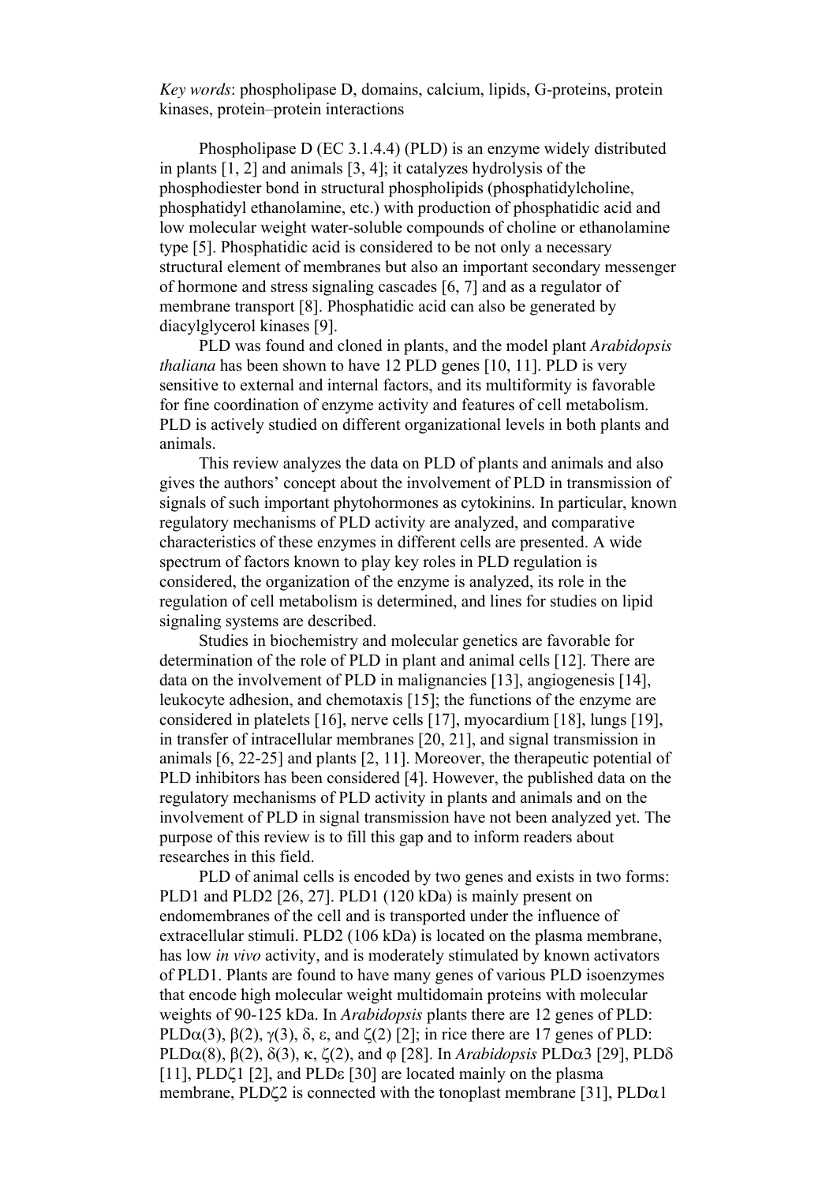*Key words*: phospholipase D, domains, calcium, lipids, G-proteins, protein kinases, protein–protein interactions

 Phospholipase D (EC 3.1.4.4) (PLD) is an enzyme widely distributed in plants [1, 2] and animals [3, 4]; it catalyzes hydrolysis of the phosphodiester bond in structural phospholipids (phosphatidylcholine, phosphatidyl ethanolamine, etc.) with production of phosphatidic acid and low molecular weight water-soluble compounds of choline or ethanolamine type [5]. Phosphatidic acid is considered to be not only a necessary structural element of membranes but also an important secondary messenger of hormone and stress signaling cascades [6, 7] and as a regulator of membrane transport [8]. Phosphatidic acid can also be generated by diacylglycerol kinases [9].

 PLD was found and cloned in plants, and the model plant *Arabidopsis thaliana* has been shown to have 12 PLD genes [10, 11]. PLD is very sensitive to external and internal factors, and its multiformity is favorable for fine coordination of enzyme activity and features of cell metabolism. PLD is actively studied on different organizational levels in both plants and animals.

 This review analyzes the data on PLD of plants and animals and also gives the authors' concept about the involvement of PLD in transmission of signals of such important phytohormones as cytokinins. In particular, known regulatory mechanisms of PLD activity are analyzed, and comparative characteristics of these enzymes in different cells are presented. A wide spectrum of factors known to play key roles in PLD regulation is considered, the organization of the enzyme is analyzed, its role in the regulation of cell metabolism is determined, and lines for studies on lipid signaling systems are described.

 Studies in biochemistry and molecular genetics are favorable for determination of the role of PLD in plant and animal cells [12]. There are data on the involvement of PLD in malignancies [13], angiogenesis [14], leukocyte adhesion, and chemotaxis [15]; the functions of the enzyme are considered in platelets [16], nerve cells [17], myocardium [18], lungs [19], in transfer of intracellular membranes [20, 21], and signal transmission in animals [6, 22-25] and plants [2, 11]. Moreover, the therapeutic potential of PLD inhibitors has been considered [4]. However, the published data on the regulatory mechanisms of PLD activity in plants and animals and on the involvement of PLD in signal transmission have not been analyzed yet. The purpose of this review is to fill this gap and to inform readers about researches in this field.

 PLD of animal cells is encoded by two genes and exists in two forms: PLD1 and PLD2 [26, 27]. PLD1 (120 kDa) is mainly present on endomembranes of the cell and is transported under the influence of extracellular stimuli. PLD2 (106 kDa) is located on the plasma membrane, has low *in vivo* activity, and is moderately stimulated by known activators of PLD1. Plants are found to have many genes of various PLD isoenzymes that encode high molecular weight multidomain proteins with molecular weights of 90-125 kDa. In *Arabidopsis* plants there are 12 genes of PLD: PLD $\alpha(3)$ ,  $\beta(2)$ ,  $\gamma(3)$ ,  $\delta$ ,  $\varepsilon$ , and  $\zeta(2)$  [2]; in rice there are 17 genes of PLD: PLD $\alpha(8)$ ,  $\beta(2)$ ,  $\delta(3)$ , κ,  $\zeta(2)$ , and  $\varphi$  [28]. In *Arabidopsis* PLD $\alpha$ 3 [29], PLD $\delta$ [11], PLDζ1 [2], and PLDε [30] are located mainly on the plasma membrane, PLD $\zeta$ 2 is connected with the tonoplast membrane [31], PLD $\alpha$ 1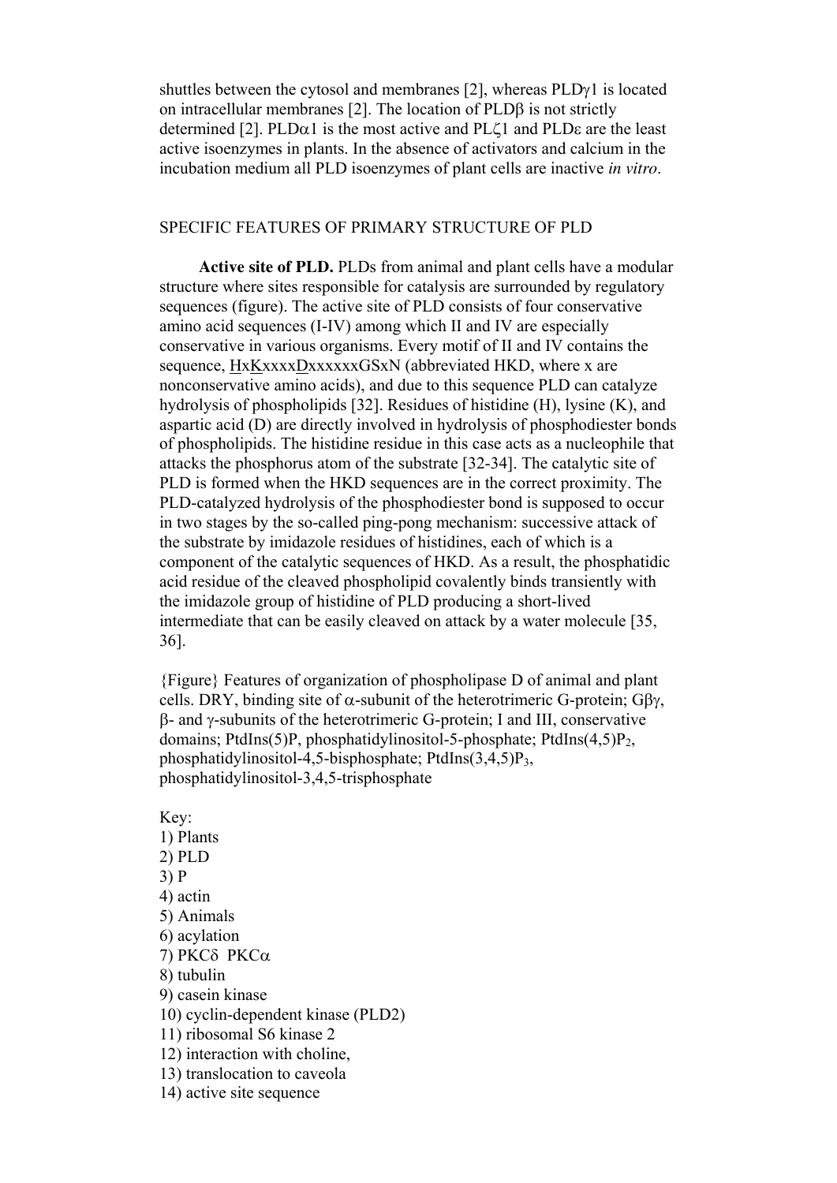shuttles between the cytosol and membranes [2], whereas PLD<sub>γ</sub>1 is located on intracellular membranes [2]. The location of PLDβ is not strictly determined [2]. PLD $\alpha$ 1 is the most active and PL $\zeta$ 1 and PLD $\varepsilon$  are the least active isoenzymes in plants. In the absence of activators and calcium in the incubation medium all PLD isoenzymes of plant cells are inactive *in vitro*.

## SPECIFIC FEATURES OF PRIMARY STRUCTURE OF PLD

 **Active site of PLD.** PLDs from animal and plant cells have a modular structure where sites responsible for catalysis are surrounded by regulatory sequences (figure). The active site of PLD consists of four conservative amino acid sequences (І-ІV) among which ІІ and ІV are especially conservative in various organisms. Every motif of II and IV contains the sequence, HxKxxxxDxxxxxxGSxN (abbreviated HKD, where x are nonconservative amino acids), and due to this sequence PLD can catalyze hydrolysis of phospholipids [32]. Residues of histidine (H), lysine (K), and aspartic acid (D) are directly involved in hydrolysis of phosphodiester bonds of phospholipids. The histidine residue in this case acts as a nucleophile that attacks the phosphorus atom of the substrate [32-34]. The catalytic site of PLD is formed when the HKD sequences are in the correct proximity. The PLD-catalyzed hydrolysis of the phosphodiester bond is supposed to occur in two stages by the so-called ping-pong mechanism: successive attack of the substrate by imidazole residues of histidines, each of which is a component of the catalytic sequences of HKD. As a result, the phosphatidic acid residue of the cleaved phospholipid covalently binds transiently with the imidazole group of histidine of PLD producing a short-lived intermediate that can be easily cleaved on attack by a water molecule [35, 36].

{Figure} Features of organization of phospholipase D of animal and plant cells. DRY, binding site of  $α$ -subunit of the heterotrimeric G-protein;  $G\beta$ γ, β- and γ-subunits of the heterotrimeric G-protein; І and ІІІ, conservative domains; PtdIns(5)P, phosphatidylinositol-5-phosphate; PtdIns(4,5)P<sub>2</sub>, phosphatidylinositol-4,5-bisphosphate; PtdIns $(3,4,5)P_3$ , phosphatidylinositol-3,4,5-trisphosphate

Key: 1) Plants 2) PLD 3) P 4) actin 5) Animals 6) acylation 7) PKCδ PKCα 8) tubulin 9) casein kinase 10) cyclin-dependent kinase (PLD2) 11) ribosomal S6 kinase 2 12) interaction with choline, 13) translocation to caveola 14) active site sequence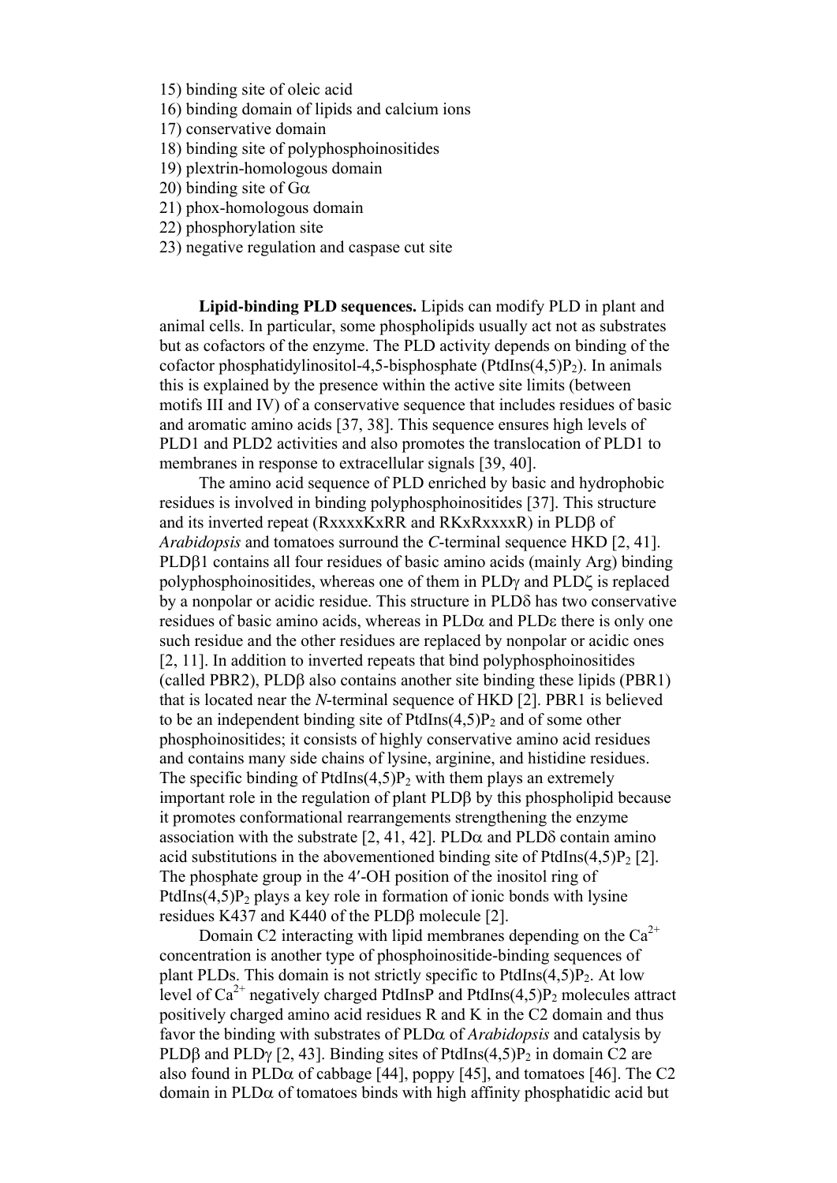15) binding site of oleic acid

16) binding domain of lipids and calcium ions

17) conservative domain

18) binding site of polyphosphoinositides

- 19) plextrin-homologous domain
- 20) binding site of  $G\alpha$
- 21) phox-homologous domain
- 22) phosphorylation site
- 23) negative regulation and caspase cut site

 **Lipid-binding PLD sequences.** Lipids can modify PLD in plant and animal cells. In particular, some phospholipids usually act not as substrates but as cofactors of the enzyme. The PLD activity depends on binding of the cofactor phosphatidylinositol-4,5-bisphosphate (PtdIns $(4,5)P_2$ ). In animals this is explained by the presence within the active site limits (between motifs ІІІ and ІV) of a conservative sequence that includes residues of basic and aromatic amino acids [37, 38]. This sequence ensures high levels of PLD1 and PLD2 activities and also promotes the translocation of PLD1 to membranes in response to extracellular signals [39, 40].

 The amino acid sequence of PLD enriched by basic and hydrophobic residues is involved in binding polyphosphoinositides [37]. This structure and its inverted repeat (RxxxxKxRR and RKxRxxxxR) in PLDβ of *Arabidopsis* and tomatoes surround the *C*-terminal sequence HKD [2, 41]. PLDβ1 contains all four residues of basic amino acids (mainly Arg) binding polyphosphoinositides, whereas one of them in PLDγ and PLDζ is replaced by a nonpolar or acidic residue. This structure in PLDδ has two conservative residues of basic amino acids, whereas in  $PLD\alpha$  and  $PLD\epsilon$  there is only one such residue and the other residues are replaced by nonpolar or acidic ones [2, 11]. In addition to inverted repeats that bind polyphosphoinositides (called PBR2), PLDβ also contains another site binding these lipids (PBR1) that is located near the *N*-terminal sequence of HKD [2]. PBR1 is believed to be an independent binding site of  $PtdIns(4,5)P<sub>2</sub>$  and of some other phosphoinositides; it consists of highly conservative amino acid residues and contains many side chains of lysine, arginine, and histidine residues. The specific binding of PtdIns $(4,5)$ P<sub>2</sub> with them plays an extremely important role in the regulation of plant PLDβ by this phospholipid because it promotes conformational rearrangements strengthening the enzyme association with the substrate  $[2, 41, 42]$ . PLD $\alpha$  and PLD $\delta$  contain amino acid substitutions in the abovementioned binding site of PtdIns $(4,5)P_2$  [2]. The phosphate group in the 4′-OH position of the inositol ring of PtdIns $(4,5)P_2$  plays a key role in formation of ionic bonds with lysine residues K437 and K440 of the PLDβ molecule [2].

Domain C2 interacting with lipid membranes depending on the  $Ca^{2+}$ concentration is another type of phosphoinositide-binding sequences of plant PLDs. This domain is not strictly specific to PtdIns $(4,5)P_2$ . At low level of  $Ca^{2+}$  negatively charged PtdInsP and PtdIns(4,5)P<sub>2</sub> molecules attract positively charged amino acid residues R and K in the C2 domain and thus favor the binding with substrates of PLDα of *Arabidopsis* and catalysis by PLDβ and PLD $\gamma$  [2, 43]. Binding sites of PtdIns(4,5)P<sub>2</sub> in domain C2 are also found in PLD $\alpha$  of cabbage [44], poppy [45], and tomatoes [46]. The C2 domain in PLDα of tomatoes binds with high affinity phosphatidic acid but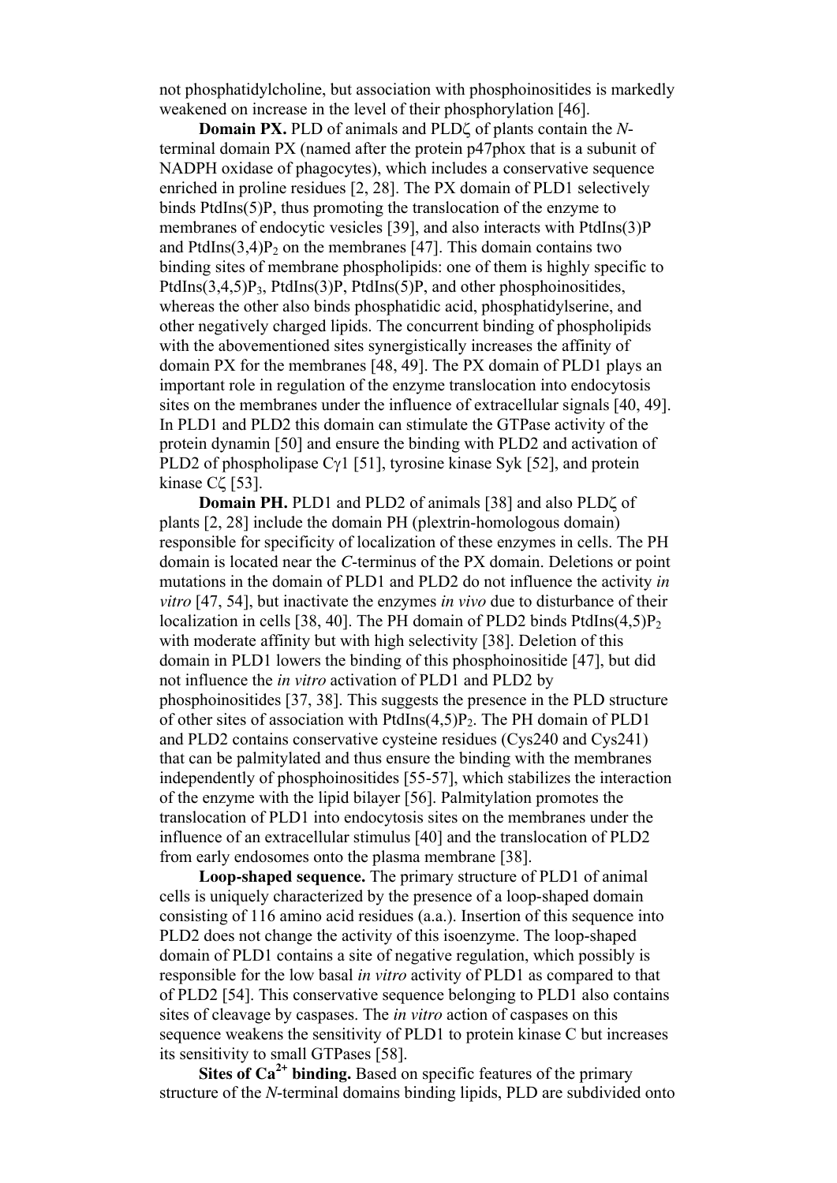not phosphatidylcholine, but association with phosphoinositides is markedly weakened on increase in the level of their phosphorylation [46].

 **Domain PX.** PLD of animals and PLDζ of plants contain the *N*terminal domain PX (named after the protein p47phox that is a subunit of NADPH oxidase of phagocytes), which includes a conservative sequence enriched in proline residues [2, 28]. The PX domain of PLD1 selectively binds PtdIns(5)P, thus promoting the translocation of the enzyme to membranes of endocytic vesicles [39], and also interacts with PtdIns(3)P and PtdIns $(3,4)P_2$  on the membranes [47]. This domain contains two binding sites of membrane phospholipids: one of them is highly specific to PtdIns $(3.4.5)P_3$ , PtdIns $(3)P_1$ , PtdIns $(5)P_2$ , and other phosphoinositides, whereas the other also binds phosphatidic acid, phosphatidylserine, and other negatively charged lipids. The concurrent binding of phospholipids with the abovementioned sites synergistically increases the affinity of domain PX for the membranes [48, 49]. The PX domain of PLD1 plays an important role in regulation of the enzyme translocation into endocytosis sites on the membranes under the influence of extracellular signals [40, 49]. In PLD1 and PLD2 this domain can stimulate the GTPase activity of the protein dynamin [50] and ensure the binding with PLD2 and activation of PLD2 of phospholipase Cγ1 [51], tyrosine kinase Syk [52], and protein kinase Cζ [53].

 **Domain PH.** PLD1 and PLD2 of animals [38] and also PLDζ of plants [2, 28] include the domain PH (plextrin-homologous domain) responsible for specificity of localization of these enzymes in cells. The PH domain is located near the *C*-terminus of the PX domain. Deletions or point mutations in the domain of PLD1 and PLD2 do not influence the activity *in vitro* [47, 54], but inactivate the enzymes *in vivo* due to disturbance of their localization in cells [38, 40]. The PH domain of PLD2 binds PtdIns $(4,5)P_2$ with moderate affinity but with high selectivity [38]. Deletion of this domain in PLD1 lowers the binding of this phosphoinositide [47], but did not influence the *in vitro* activation of PLD1 and PLD2 by phosphoinositides [37, 38]. This suggests the presence in the PLD structure of other sites of association with PtdIns $(4,5)P_2$ . The PH domain of PLD1 and PLD2 contains conservative cysteine residues (Cys240 and Cys241) that can be palmitylated and thus ensure the binding with the membranes independently of phosphoinositides [55-57], which stabilizes the interaction of the enzyme with the lipid bilayer [56]. Palmitylation promotes the translocation of PLD1 into endocytosis sites on the membranes under the influence of an extracellular stimulus [40] and the translocation of PLD2 from early endosomes onto the plasma membrane [38].

 **Loop-shaped sequence.** The primary structure of PLD1 of animal cells is uniquely characterized by the presence of a loop-shaped domain consisting of 116 amino acid residues (a.a.). Insertion of this sequence into PLD2 does not change the activity of this isoenzyme. The loop-shaped domain of PLD1 contains a site of negative regulation, which possibly is responsible for the low basal *in vitro* activity of PLD1 as compared to that of PLD2 [54]. This conservative sequence belonging to PLD1 also contains sites of cleavage by caspases. The *in vitro* action of caspases on this sequence weakens the sensitivity of PLD1 to protein kinase C but increases its sensitivity to small GTPases [58].

 **Sites of Ca2+ binding.** Based on specific features of the primary structure of the *N*-terminal domains binding lipids, PLD are subdivided onto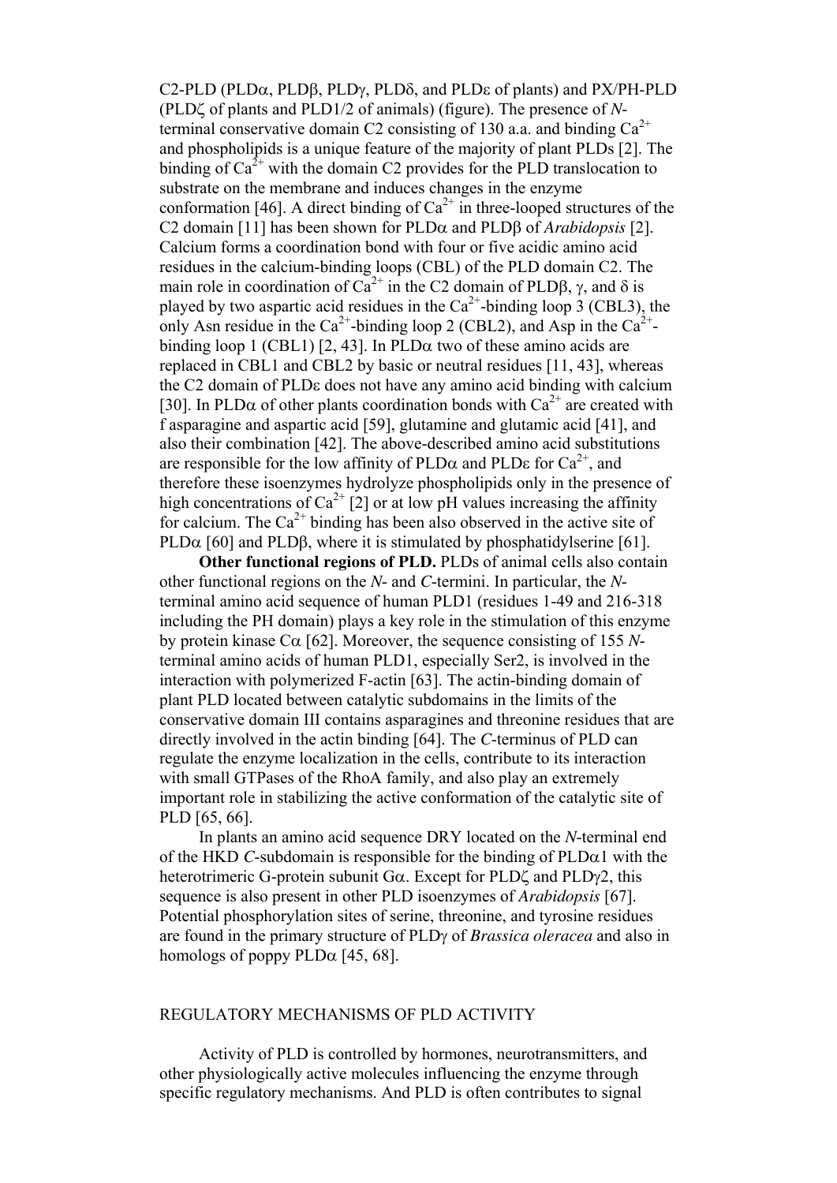C2-PLD (PLDα, PLDβ, PLDγ, PLDδ, and PLDε of plants) and PX/PH-PLD (PLDζ of plants and PLD1/2 of animals) (figure). The presence of *N*terminal conservative domain C2 consisting of 130 a.a. and binding  $Ca^{2+}$ and phospholipids is a unique feature of the majority of plant PLDs [2]. The binding of  $Ca^{2+}$  with the domain C2 provides for the PLD translocation to substrate on the membrane and induces changes in the enzyme conformation [46]. A direct binding of  $Ca^{2+}$  in three-looped structures of the C2 domain [11] has been shown for PLDα and PLDβ of *Arabidopsis* [2]. Calcium forms a coordination bond with four or five acidic amino acid residues in the calcium-binding loops (CBL) of the PLD domain C2. The main role in coordination of  $Ca^{2+}$  in the C2 domain of PLDB,  $\gamma$ , and  $\delta$  is played by two aspartic acid residues in the  $Ca^{2+}$ -binding loop 3 (CBL3), the only Asn residue in the Ca<sup>2+</sup>-binding loop 2 (CBL2), and Asp in the Ca<sup>2+</sup>binding loop 1 (CBL1) [2, 43]. In PLD $\alpha$  two of these amino acids are replaced in CBL1 and CBL2 by basic or neutral residues [11, 43], whereas the C2 domain of PLDε does not have any amino acid binding with calcium [30]. In PLD $\alpha$  of other plants coordination bonds with Ca<sup>2+</sup> are created with f asparagine and aspartic acid [59], glutamine and glutamic acid [41], and also their combination [42]. The above-described amino acid substitutions are responsible for the low affinity of PLD $\alpha$  and PLD $\epsilon$  for  $Ca^{2+}$ , and therefore these isoenzymes hydrolyze phospholipids only in the presence of high concentrations of  $Ca^{2+}$  [2] or at low pH values increasing the affinity for calcium. The  $Ca^{2+}$  binding has been also observed in the active site of PLD $\alpha$  [60] and PLD $\beta$ , where it is stimulated by phosphatidylserine [61].

 **Other functional regions of PLD.** PLDs of animal cells also contain other functional regions on the *N*- and *C*-termini. In particular, the *N*terminal amino acid sequence of human PLD1 (residues 1-49 and 216-318 including the PH domain) plays a key role in the stimulation of this enzyme by protein kinase  $C\alpha$  [62]. Moreover, the sequence consisting of 155 *N*terminal amino acids of human PLD1, especially Ser2, is involved in the interaction with polymerized F-actin [63]. The actin-binding domain of plant PLD located between catalytic subdomains in the limits of the conservative domain III contains asparagines and threonine residues that are directly involved in the actin binding [64]. The *C*-terminus of PLD can regulate the enzyme localization in the cells, contribute to its interaction with small GTPases of the RhoA family, and also play an extremely important role in stabilizing the active conformation of the catalytic site of PLD [65, 66].

 In plants an amino acid sequence DRY located on the *N*-terminal end of the HKD *C*-subdomain is responsible for the binding of  $PLD\alpha1$  with the heterotrimeric G-protein subunit Gα. Except for PLDζ and PLDγ2, this sequence is also present in other PLD isoenzymes of *Arabidopsis* [67]. Potential phosphorylation sites of serine, threonine, and tyrosine residues are found in the primary structure of PLDγ of *Brassica oleracea* and also in homologs of poppy  $PLD\alpha$  [45, 68].

#### REGULATORY MECHANISMS OF PLD ACTIVITY

 Activity of PLD is controlled by hormones, neurotransmitters, and other physiologically active molecules influencing the enzyme through specific regulatory mechanisms. And PLD is often contributes to signal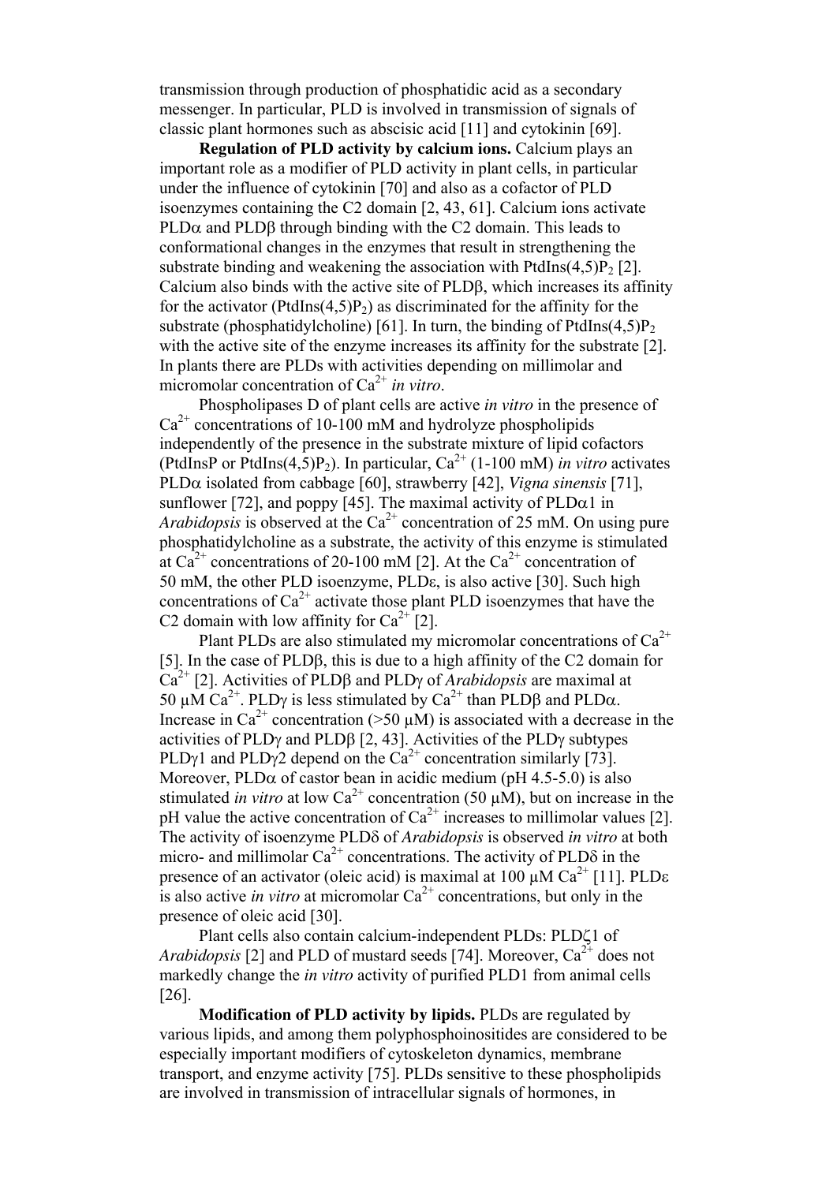transmission through production of phosphatidic acid as a secondary messenger. In particular, PLD is involved in transmission of signals of classic plant hormones such as abscisic acid [11] and cytokinin [69].

**Regulation of PLD activity by calcium ions.** Calcium plays an important role as a modifier of PLD activity in plant cells, in particular under the influence of cytokinin [70] and also as a cofactor of PLD isoenzymes containing the C2 domain [2, 43, 61]. Calcium ions activate PLD $\alpha$  and PLDB through binding with the C2 domain. This leads to conformational changes in the enzymes that result in strengthening the substrate binding and weakening the association with PtdIns $(4,5)P_2$  [2]. Calcium also binds with the active site of PLDβ, which increases its affinity for the activator (PtdIns $(4,5)P_2$ ) as discriminated for the affinity for the substrate (phosphatidylcholine) [61]. In turn, the binding of PtdIns $(4,5)P_2$ with the active site of the enzyme increases its affinity for the substrate [2]. In plants there are PLDs with activities depending on millimolar and micromolar concentration of Ca<sup>2+</sup> *in vitro*.

 Phospholipases D of plant cells are active *in vitro* in the presence of  $Ca<sup>2+</sup>$  concentrations of 10-100 mM and hydrolyze phospholipids independently of the presence in the substrate mixture of lipid cofactors (PtdInsP or PtdIns $(4,5)P_2$ ). In particular,  $Ca^{2+}$  (1-100 mM) *in vitro* activates PLDα isolated from cabbage [60], strawberry [42], *Vigna sinensis* [71], sunflower [72], and poppy [45]. The maximal activity of  $PLD\alpha1$  in *Arabidopsis* is observed at the  $Ca^{2+}$  concentration of 25 mM. On using pure phosphatidylcholine as a substrate, the activity of this enzyme is stimulated at Ca<sup>2+</sup> concentrations of 20-100 mM [2]. At the Ca<sup>2+</sup> concentration of 50 mM, the other PLD isoenzyme, PLDε, is also active [30]. Such high concentrations of  $Ca^{2+}$  activate those plant PLD isoenzymes that have the C2 domain with low affinity for  $Ca^{2+}$  [2].

Plant PLDs are also stimulated my micromolar concentrations of  $Ca^{2+}$ [5]. In the case of PLDβ, this is due to a high affinity of the C2 domain for Ca2+ [2]. Activities of PLDβ and PLDγ of *Arabidopsis* are maximal at 50  $\mu$ M Ca<sup>2+</sup>. PLD<sub>Y</sub> is less stimulated by Ca<sup>2+</sup> than PLD<sub>B</sub> and PLD<sub>a</sub>. Increase in  $Ca^{2+}$  concentration (>50  $\mu$ M) is associated with a decrease in the activities of PLDγ and PLDβ [2, 43]. Activities of the PLDγ subtypes PLDγ1 and PLDγ2 depend on the  $Ca^{2+}$  concentration similarly [73]. Moreover,  $PLD\alpha$  of castor bean in acidic medium (pH 4.5-5.0) is also stimulated *in vitro* at low  $Ca^{2+}$  concentration (50  $\mu$ M), but on increase in the pH value the active concentration of  $Ca^{2+}$  increases to millimolar values [2]. The activity of isoenzyme PLDδ of *Arabidopsis* is observed *in vitro* at both micro- and millimolar  $Ca^{2+}$  concentrations. The activity of PLD $\delta$  in the presence of an activator (oleic acid) is maximal at 100  $\mu$ M Ca<sup>2+</sup> [11]. PLD $\epsilon$ is also active *in vitro* at micromolar  $Ca^{2+}$  concentrations, but only in the presence of oleic acid [30].

 Plant cells also contain calcium-independent PLDs: PLDζ1 of *Arabidopsis* [2] and PLD of mustard seeds [74]. Moreover,  $Ca^{2+}$  does not markedly change the *in vitro* activity of purified PLD1 from animal cells [26].

**Modification of PLD activity by lipids.** PLDs are regulated by various lipids, and among them polyphosphoinositides are considered to be especially important modifiers of cytoskeleton dynamics, membrane transport, and enzyme activity [75]. PLDs sensitive to these phospholipids are involved in transmission of intracellular signals of hormones, in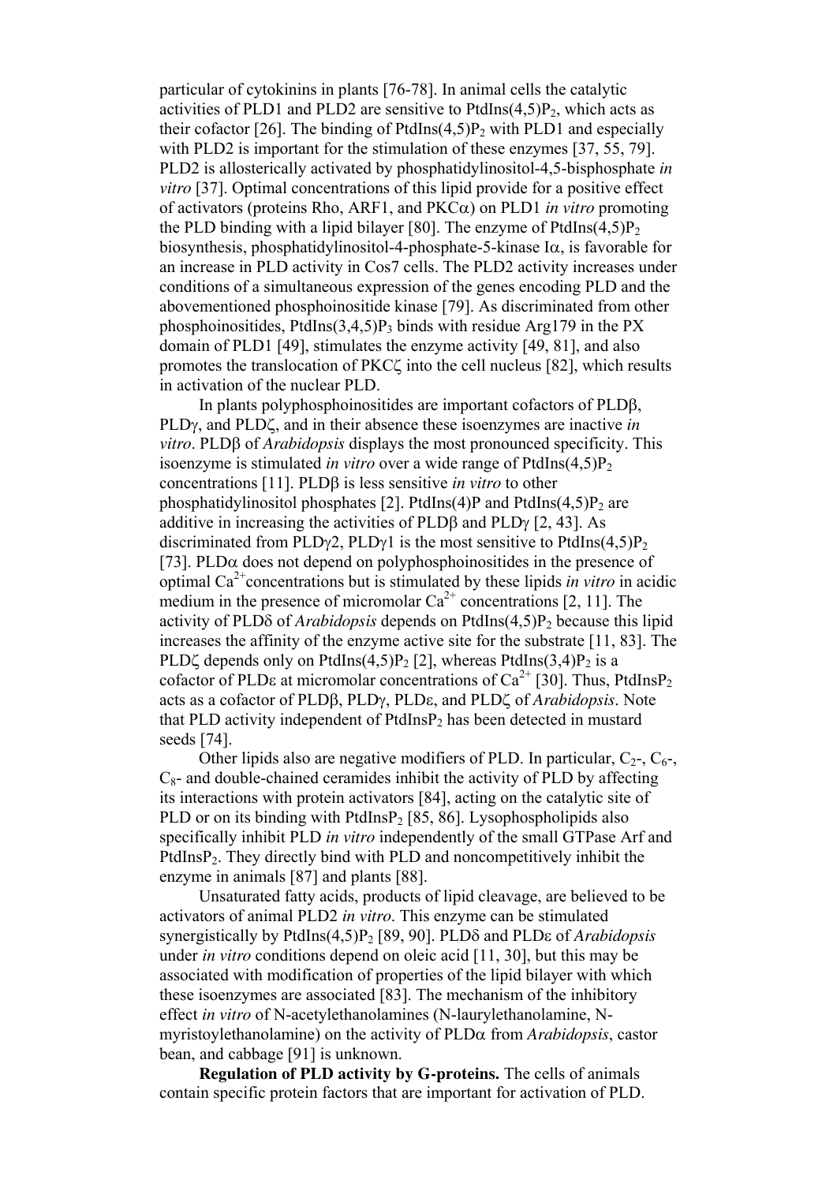particular of cytokinins in plants [76-78]. In animal cells the catalytic activities of PLD1 and PLD2 are sensitive to PtdIns $(4,5)P_2$ , which acts as their cofactor [26]. The binding of PtdIns $(4,5)P_2$  with PLD1 and especially with PLD2 is important for the stimulation of these enzymes [37, 55, 79]. PLD2 is allosterically activated by phosphatidylinositol-4,5-bisphosphate *in vitro* [37]. Optimal concentrations of this lipid provide for a positive effect of activators (proteins Rho, ARF1, and PKCα) on PLD1 *in vitro* promoting the PLD binding with a lipid bilayer [80]. The enzyme of PtdIns $(4.5)P_2$ biosynthesis, phosphatidylinositol-4-phosphate-5-kinase  $I\alpha$ , is favorable for an increase in PLD activity in Cos7 cells. The PLD2 activity increases under conditions of a simultaneous expression of the genes encoding PLD and the abovementioned phosphoinositide kinase [79]. As discriminated from other phosphoinositides, PtdIns $(3,4,5)P_3$  binds with residue Arg179 in the PX domain of PLD1 [49], stimulates the enzyme activity [49, 81], and also promotes the translocation of PKCζ into the cell nucleus [82], which results in activation of the nuclear PLD.

 In plants polyphosphoinositides are important cofactors of PLDβ, PLDγ, and PLDζ, and in their absence these isoenzymes are inactive *in vitro*. PLDβ of *Arabidopsis* displays the most pronounced specificity. This isoenzyme is stimulated *in vitro* over a wide range of PtdIns $(4,5)P_2$ concentrations [11]. PLDβ is less sensitive *in vitro* to other phosphatidylinositol phosphates [2]. PtdIns(4)P and PtdIns(4,5)P<sub>2</sub> are additive in increasing the activities of PLDβ and PLDγ [2, 43]. As discriminated from PLDγ2, PLDγ1 is the most sensitive to PtdIns(4,5) $P_2$ [73]. PLD $\alpha$  does not depend on polyphosphoinositides in the presence of optimal Ca2+concentrations but is stimulated by these lipids *in vitro* in acidic medium in the presence of micromolar  $Ca^{2+}$  concentrations [2, 11]. The activity of PLDδ of *Arabidopsis* depends on PtdIns(4,5)P2 because this lipid increases the affinity of the enzyme active site for the substrate [11, 83]. The PLD $\zeta$  depends only on PtdIns(4,5)P<sub>2</sub> [2], whereas PtdIns(3,4)P<sub>2</sub> is a cofactor of PLDs at micromolar concentrations of  $Ca^{2+}$  [30]. Thus, PtdInsP<sub>2</sub> acts as a cofactor of PLDβ, PLDγ, PLDε, and PLDζ of *Arabidopsis*. Note that PLD activity independent of PtdInsP<sub>2</sub> has been detected in mustard seeds [74].

Other lipids also are negative modifiers of PLD. In particular,  $C_2$ -,  $C_6$ -,  $C_8$ - and double-chained ceramides inhibit the activity of PLD by affecting its interactions with protein activators [84], acting on the catalytic site of PLD or on its binding with PtdInsP<sub>2</sub> [85, 86]. Lysophospholipids also specifically inhibit PLD *in vitro* independently of the small GTPase Arf and PtdInsP<sub>2</sub>. They directly bind with PLD and noncompetitively inhibit the enzyme in animals [87] and plants [88].

 Unsaturated fatty acids, products of lipid cleavage, are believed to be activators of animal PLD2 *in vitro*. This enzyme can be stimulated synergistically by PtdIns(4,5)P2 [89, 90]. PLDδ and PLDε of *Arabidopsis* under *in vitro* conditions depend on oleic acid [11, 30], but this may be associated with modification of properties of the lipid bilayer with which these isoenzymes are associated [83]. The mechanism of the inhibitory effect *in vitro* of N-acetylethanolamines (N-laurylethanolamine, Nmyristoylethanolamine) on the activity of PLDα from *Arabidopsis*, castor bean, and cabbage [91] is unknown.

**Regulation of PLD activity by G-proteins.** The cells of animals contain specific protein factors that are important for activation of PLD.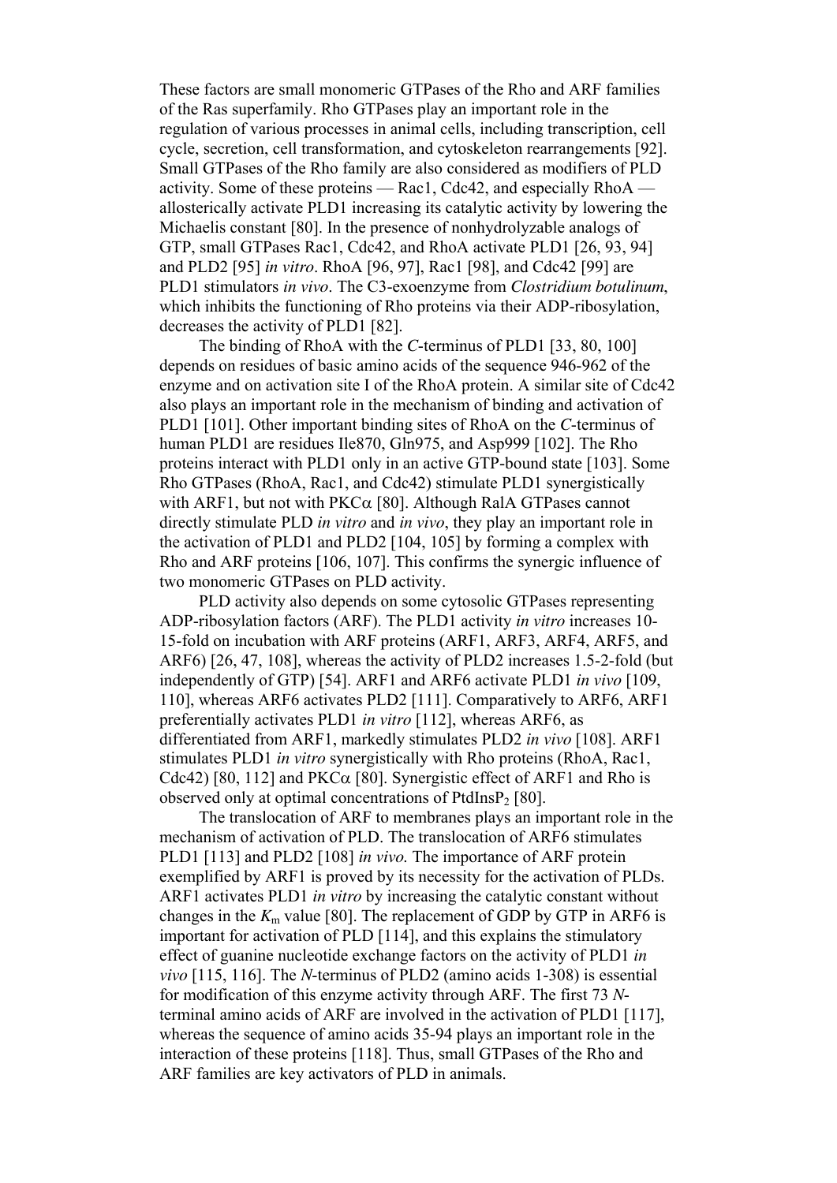These factors are small monomeric GTPases of the Rho and ARF families of the Ras superfamily. Rho GTPases play an important role in the regulation of various processes in animal cells, including transcription, cell cycle, secretion, cell transformation, and cytoskeleton rearrangements [92]. Small GTPases of the Rho family are also considered as modifiers of PLD activity. Some of these proteins — Rac1, Cdc42, and especially RhoA allosterically activate PLD1 increasing its catalytic activity by lowering the Michaelis constant [80]. In the presence of nonhydrolyzable analogs of GTP, small GTPases Rac1, Cdc42, and RhoA activate PLD1 [26, 93, 94] and PLD2 [95] *in vitro*. RhoA [96, 97], Rac1 [98], and Cdc42 [99] are PLD1 stimulators *in vivo*. The C3-exoenzyme from *Clostridium botulinum*, which inhibits the functioning of Rho proteins via their ADP-ribosylation, decreases the activity of PLD1 [82].

 The binding of RhoA with the *C*-terminus of PLD1 [33, 80, 100] depends on residues of basic amino acids of the sequence 946-962 of the enzyme and on activation site I of the RhoA protein. A similar site of Cdc42 also plays an important role in the mechanism of binding and activation of PLD1 [101]. Other important binding sites of RhoA on the *C*-terminus of human PLD1 are residues Ile870, Gln975, and Asp999 [102]. The Rho proteins interact with PLD1 only in an active GTP-bound state [103]. Some Rho GTPases (RhoA, Rac1, and Cdc42) stimulate PLD1 synergistically with ARF1, but not with  $PKC\alpha$  [80]. Although RalA GTPases cannot directly stimulate PLD *in vitro* and *in vivo*, they play an important role in the activation of PLD1 and PLD2 [104, 105] by forming a complex with Rho and ARF proteins [106, 107]. This confirms the synergic influence of two monomeric GTPases on PLD activity.

 PLD activity also depends on some cytosolic GTPases representing ADP-ribosylation factors (ARF). The PLD1 activity *in vitro* increases 10- 15-fold on incubation with ARF proteins (ARF1, ARF3, ARF4, ARF5, and ARF6) [26, 47, 108], whereas the activity of PLD2 increases 1.5-2-fold (but independently of GTP) [54]. ARF1 and ARF6 activate PLD1 *in vivo* [109, 110], whereas ARF6 activates PLD2 [111]. Comparatively to ARF6, ARF1 preferentially activates PLD1 *in vitro* [112], whereas ARF6, as differentiated from ARF1, markedly stimulates PLD2 *in vivo* [108]. ARF1 stimulates PLD1 *in vitro* synergistically with Rho proteins (RhoA, Rac1, Cdc42) [80, 112] and  $PKC\alpha$  [80]. Synergistic effect of ARF1 and Rho is observed only at optimal concentrations of  $PtdlnSP<sub>2</sub>$  [80].

 The translocation of ARF to membranes plays an important role in the mechanism of activation of PLD. The translocation of ARF6 stimulates PLD1 [113] and PLD2 [108] *in vivo.* The importance of ARF protein exemplified by ARF1 is proved by its necessity for the activation of PLDs. ARF1 activates PLD1 *in vitro* by increasing the catalytic constant without changes in the  $K<sub>m</sub>$  value [80]. The replacement of GDP by GTP in ARF6 is important for activation of PLD [114], and this explains the stimulatory effect of guanine nucleotide exchange factors on the activity of PLD1 *in vivo* [115, 116]. The *N*-terminus of PLD2 (amino acids 1-308) is essential for modification of this enzyme activity through ARF. The first 73 *N*terminal amino acids of ARF are involved in the activation of PLD1 [117], whereas the sequence of amino acids 35-94 plays an important role in the interaction of these proteins [118]. Thus, small GTPases of the Rho and ARF families are key activators of PLD in animals.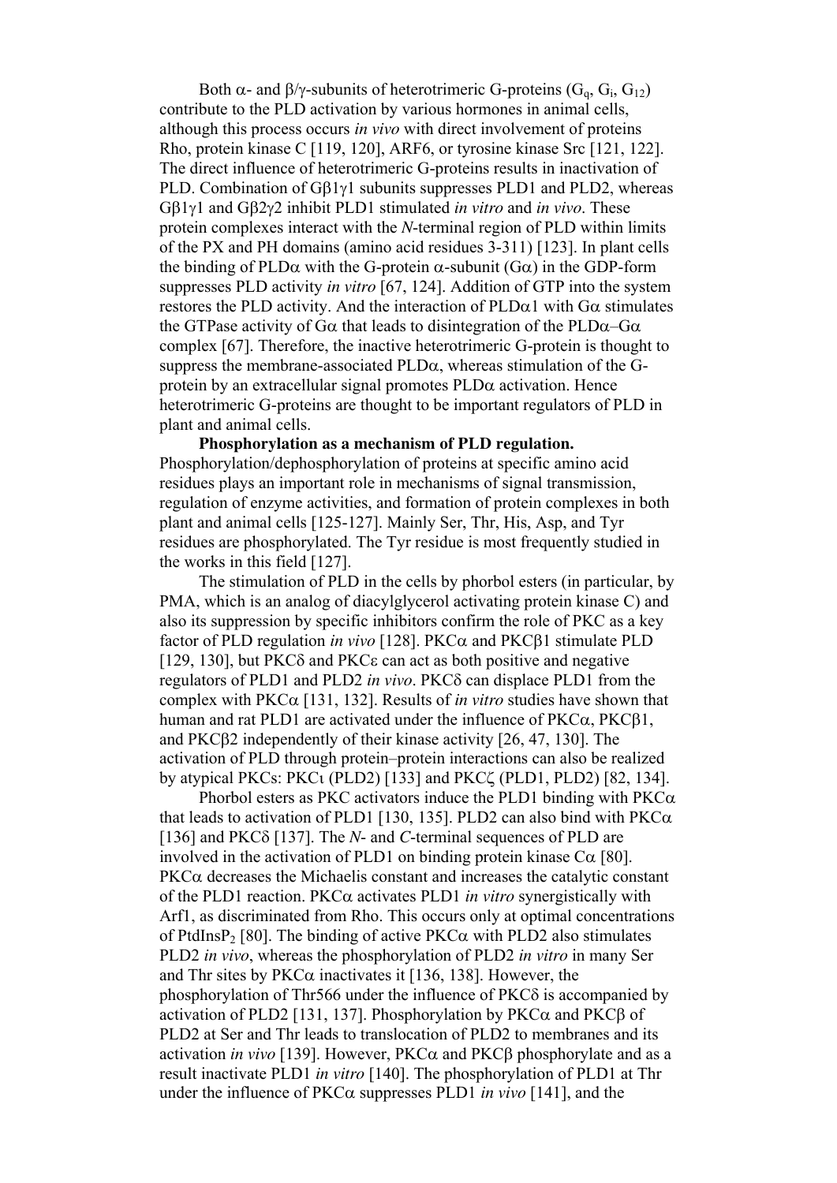Both  $\alpha$ - and  $\beta/\gamma$ -subunits of heterotrimeric G-proteins (G<sub>q</sub>, G<sub>i</sub>, G<sub>12</sub>) contribute to the PLD activation by various hormones in animal cells, although this process occurs *in vivo* with direct involvement of proteins Rho, protein kinase C [119, 120], ARF6, or tyrosine kinase Src [121, 122]. The direct influence of heterotrimeric G-proteins results in inactivation of PLD. Combination of Gβ1γ1 subunits suppresses PLD1 and PLD2, whereas Gβ1γ1 and Gβ2γ2 inhibit PLD1 stimulated *in vitro* and *in vivo*. These protein complexes interact with the *N*-terminal region of PLD within limits of the PX and PH domains (amino acid residues 3-311) [123]. In plant cells the binding of PLD $\alpha$  with the G-protein  $\alpha$ -subunit (G $\alpha$ ) in the GDP-form suppresses PLD activity *in vitro* [67, 124]. Addition of GTP into the system restores the PLD activity. And the interaction of  $PLD\alpha1$  with  $G\alpha$  stimulates the GTPase activity of G $\alpha$  that leads to disintegration of the PLD $\alpha$ –G $\alpha$ complex [67]. Therefore, the inactive heterotrimeric G-protein is thought to suppress the membrane-associated  $PLD\alpha$ , whereas stimulation of the Gprotein by an extracellular signal promotes  $PLD\alpha$  activation. Hence heterotrimeric G-proteins are thought to be important regulators of PLD in plant and animal cells.

 **Phosphorylation as a mechanism of PLD regulation.**  Phosphorylation/dephosphorylation of proteins at specific amino acid residues plays an important role in mechanisms of signal transmission, regulation of enzyme activities, and formation of protein complexes in both plant and animal cells [125-127]. Mainly Ser, Thr, His, Asp, and Tyr residues are phosphorylated. The Tyr residue is most frequently studied in the works in this field [127].

 The stimulation of PLD in the cells by phorbol esters (in particular, by PMA, which is an analog of diacylglycerol activating protein kinase C) and also its suppression by specific inhibitors confirm the role of PKC as a key factor of PLD regulation *in vivo* [128]. PKCα and PKCβ1 stimulate PLD [129, 130], but PKCδ and PKCε can act as both positive and negative regulators of PLD1 and PLD2 *in vivo*. PKCδ can displace PLD1 from the complex with  $PKC\alpha$  [131, 132]. Results of *in vitro* studies have shown that human and rat PLD1 are activated under the influence of  $PKC\alpha$ ,  $PKC\beta1$ , and PKCβ2 independently of their kinase activity [26, 47, 130]. The activation of PLD through protein–protein interactions can also be realized by atypical PKCs: PKCι (PLD2) [133] and PKCζ (PLD1, PLD2) [82, 134].

Phorbol esters as PKC activators induce the PLD1 binding with  $PKC\alpha$ that leads to activation of PLD1 [130, 135]. PLD2 can also bind with  $PKC\alpha$ [136] and PKCδ [137]. The *N*- and *C*-terminal sequences of PLD are involved in the activation of PLD1 on binding protein kinase  $C\alpha$  [80].  $PKC\alpha$  decreases the Michaelis constant and increases the catalytic constant of the PLD1 reaction. PKCα activates PLD1 *in vitro* synergistically with Arf1, as discriminated from Rho. This occurs only at optimal concentrations of PtdInsP<sub>2</sub> [80]. The binding of active  $PKC\alpha$  with PLD2 also stimulates PLD2 *in vivo*, whereas the phosphorylation of PLD2 *in vitro* in many Ser and Thr sites by  $PKC\alpha$  inactivates it [136, 138]. However, the phosphorylation of Thr566 under the influence of PKCδ is accompanied by activation of PLD2 [131, 137]. Phosphorylation by  $PKC\alpha$  and  $PKC\beta$  of PLD2 at Ser and Thr leads to translocation of PLD2 to membranes and its activation *in vivo* [139]. However, PKCα and PKCβ phosphorylate and as a result inactivate PLD1 *in vitro* [140]. The phosphorylation of PLD1 at Thr under the influence of PKCα suppresses PLD1 *in vivo* [141], and the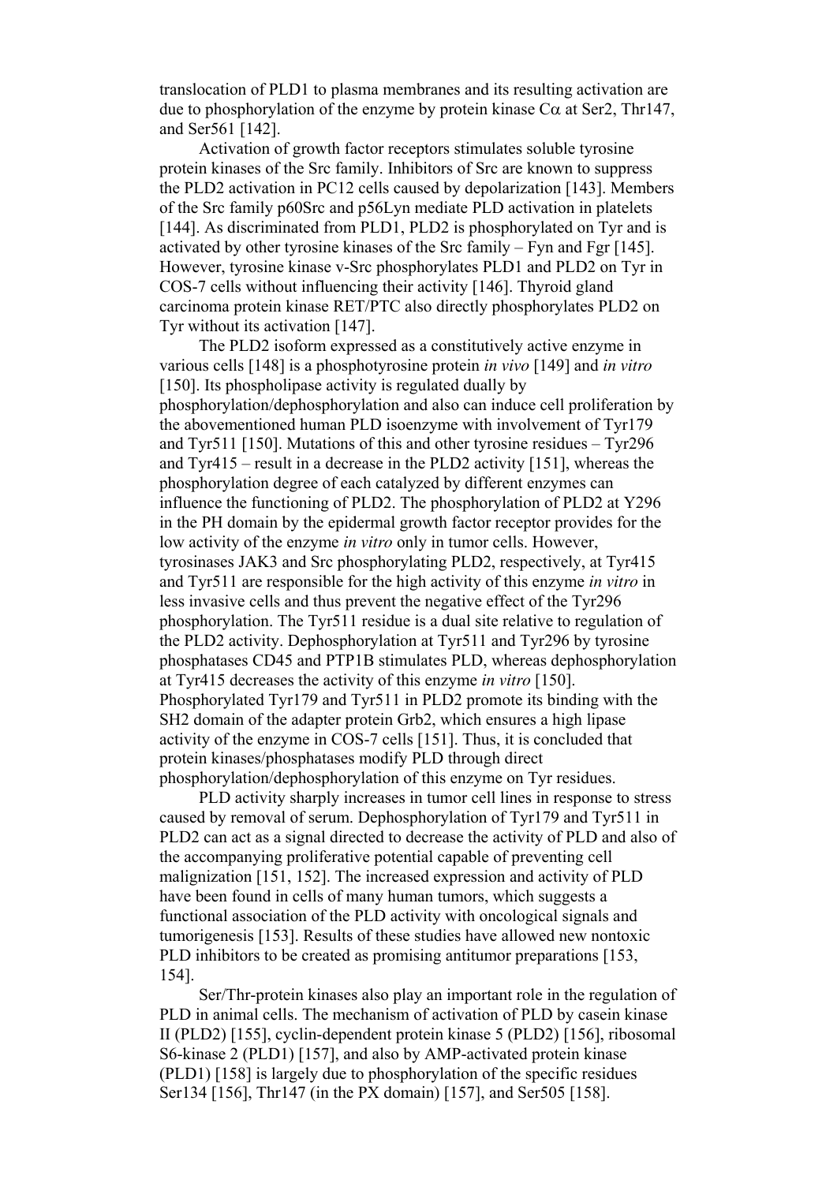translocation of PLD1 to plasma membranes and its resulting activation are due to phosphorylation of the enzyme by protein kinase  $Ca$  at Ser2, Thr147, and Ser561 [142].

 Activation of growth factor receptors stimulates soluble tyrosine protein kinases of the Src family. Inhibitors of Src are known to suppress the PLD2 activation in PC12 cells caused by depolarization [143]. Members of the Src family p60Src and p56Lyn mediate PLD activation in platelets [144]. As discriminated from PLD1, PLD2 is phosphorylated on Tyr and is activated by other tyrosine kinases of the Src family – Fyn and Fgr [145]. However, tyrosine kinase v-Src phosphorylates PLD1 and PLD2 on Tyr in COS-7 cells without influencing their activity [146]. Thyroid gland carcinoma protein kinase RET/PTC also directly phosphorylates PLD2 on Tyr without its activation [147].

 The PLD2 isoform expressed as a constitutively active enzyme in various cells [148] is a phosphotyrosine protein *in vivo* [149] and *in vitro* [150]. Its phospholipase activity is regulated dually by phosphorylation/dephosphorylation and also can induce cell proliferation by the abovementioned human PLD isoenzyme with involvement of Tyr179 and Tyr511 [150]. Mutations of this and other tyrosine residues – Tyr296 and Tyr415 – result in a decrease in the PLD2 activity [151], whereas the phosphorylation degree of each catalyzed by different enzymes can influence the functioning of PLD2. The phosphorylation of PLD2 at Y296 in the PH domain by the epidermal growth factor receptor provides for the low activity of the enzyme *in vitro* only in tumor cells. However, tyrosinases JAK3 and Src phosphorylating PLD2, respectively, at Tyr415 and Tyr511 are responsible for the high activity of this enzyme *in vitro* in less invasive cells and thus prevent the negative effect of the Tyr296 phosphorylation. The Tyr511 residue is a dual site relative to regulation of the PLD2 activity. Dephosphorylation at Tyr511 and Tyr296 by tyrosine phosphatases CD45 and PTP1B stimulates PLD, whereas dephosphorylation at Tyr415 decreases the activity of this enzyme *in vitro* [150]. Phosphorylated Tyr179 and Tyr511 in PLD2 promote its binding with the SH2 domain of the adapter protein Grb2, which ensures a high lipase activity of the enzyme in COS-7 cells [151]. Thus, it is concluded that protein kinases/phosphatases modify PLD through direct phosphorylation/dephosphorylation of this enzyme on Tyr residues.

 PLD activity sharply increases in tumor cell lines in response to stress caused by removal of serum. Dephosphorylation of Tyr179 and Tyr511 in PLD2 can act as a signal directed to decrease the activity of PLD and also of the accompanying proliferative potential capable of preventing cell malignization [151, 152]. The increased expression and activity of PLD have been found in cells of many human tumors, which suggests a functional association of the PLD activity with oncological signals and tumorigenesis [153]. Results of these studies have allowed new nontoxic PLD inhibitors to be created as promising antitumor preparations [153, 154].

 Ser/Thr-protein kinases also play an important role in the regulation of PLD in animal cells. The mechanism of activation of PLD by casein kinase II (PLD2) [155], cyclin-dependent protein kinase 5 (PLD2) [156], ribosomal S6-kinase 2 (PLD1) [157], and also by AMP-activated protein kinase (PLD1) [158] is largely due to phosphorylation of the specific residues Ser134 [156], Thr147 (in the PX domain) [157], and Ser505 [158].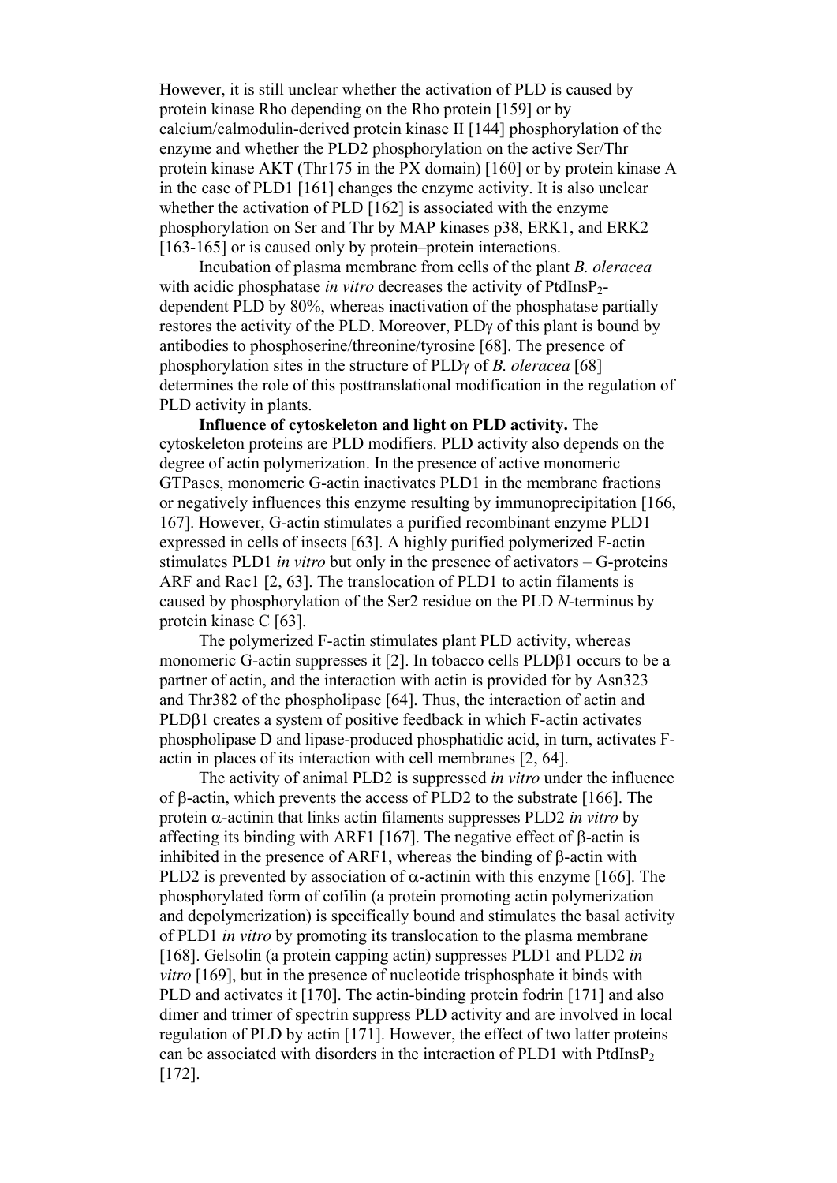However, it is still unclear whether the activation of PLD is caused by protein kinase Rho depending on the Rho protein [159] or by calcium/calmodulin-derived protein kinase II [144] phosphorylation of the enzyme and whether the PLD2 phosphorylation on the active Ser/Thr protein kinase AKT (Thr175 in the PX domain) [160] or by protein kinase A in the case of PLD1 [161] changes the enzyme activity. It is also unclear whether the activation of PLD [162] is associated with the enzyme phosphorylation on Ser and Thr by MAP kinases p38, ERK1, and ERK2 [163-165] or is caused only by protein–protein interactions.

 Incubation of plasma membrane from cells of the plant *B. oleracea* with acidic phosphatase *in vitro* decreases the activity of PtdInsP<sub>2</sub>dependent PLD by 80%, whereas inactivation of the phosphatase partially restores the activity of the PLD. Moreover, PLDγ of this plant is bound by antibodies to phosphoserine/threonine/tyrosine [68]. The presence of phosphorylation sites in the structure of PLDγ of *B. oleracea* [68] determines the role of this posttranslational modification in the regulation of PLD activity in plants.

 **Influence of cytoskeleton and light on PLD activity.** The cytoskeleton proteins are PLD modifiers. PLD activity also depends on the degree of actin polymerization. In the presence of active monomeric GTPases, monomeric G-actin inactivates PLD1 in the membrane fractions or negatively influences this enzyme resulting by immunoprecipitation [166, 167]. However, G-actin stimulates a purified recombinant enzyme PLD1 expressed in cells of insects [63]. A highly purified polymerized F-actin stimulates PLD1 *in vitro* but only in the presence of activators – G-proteins ARF and Rac1 [2, 63]. The translocation of PLD1 to actin filaments is caused by phosphorylation of the Ser2 residue on the PLD *N*-terminus by protein kinase C [63].

 The polymerized F-actin stimulates plant PLD activity, whereas monomeric G-actin suppresses it [2]. In tobacco cells PLDβ1 occurs to be a partner of actin, and the interaction with actin is provided for by Asn323 and Thr382 of the phospholipase [64]. Thus, the interaction of actin and PLDβ1 creates a system of positive feedback in which F-actin activates phospholipase D and lipase-produced phosphatidic acid, in turn, activates Factin in places of its interaction with cell membranes [2, 64].

 The activity of animal PLD2 is suppressed *in vitro* under the influence of β-actin, which prevents the access of PLD2 to the substrate [166]. The protein α-actinin that links actin filaments suppresses PLD2 *in vitro* by affecting its binding with ARF1 [167]. The negative effect of β-actin is inhibited in the presence of ARF1, whereas the binding of β-actin with PLD2 is prevented by association of  $\alpha$ -actinin with this enzyme [166]. The phosphorylated form of cofilin (a protein promoting actin polymerization and depolymerization) is specifically bound and stimulates the basal activity of PLD1 *in vitro* by promoting its translocation to the plasma membrane [168]. Gelsolin (a protein capping actin) suppresses PLD1 and PLD2 *in vitro* [169], but in the presence of nucleotide trisphosphate it binds with PLD and activates it [170]. The actin-binding protein fodrin [171] and also dimer and trimer of spectrin suppress PLD activity and are involved in local regulation of PLD by actin [171]. However, the effect of two latter proteins can be associated with disorders in the interaction of PLD1 with PtdInsP<sub>2</sub> [172].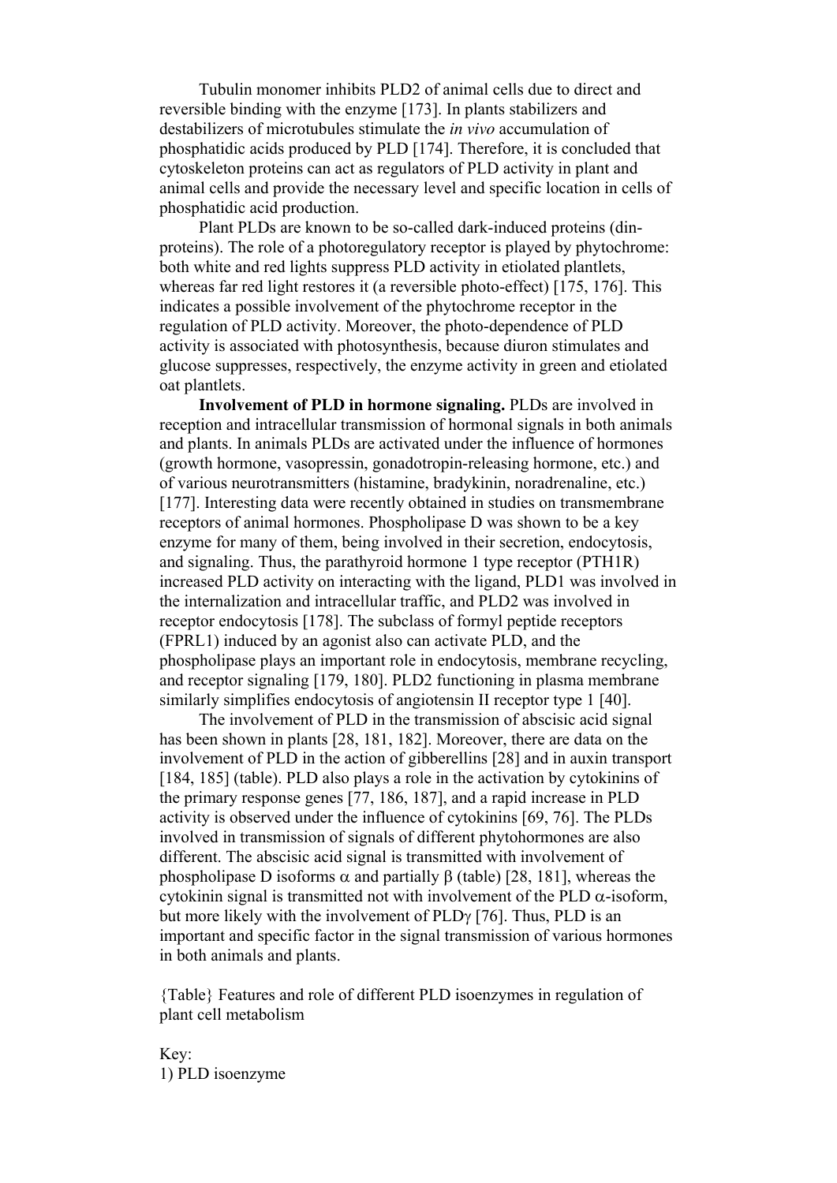Tubulin monomer inhibits PLD2 of animal cells due to direct and reversible binding with the enzyme [173]. In plants stabilizers and destabilizers of microtubules stimulate the *in vivo* accumulation of phosphatidic acids produced by PLD [174]. Therefore, it is concluded that cytoskeleton proteins can act as regulators of PLD activity in plant and animal cells and provide the necessary level and specific location in cells of phosphatidic acid production.

 Plant PLDs are known to be so-called dark-induced proteins (dinproteins). The role of a photoregulatory receptor is played by phytochrome: both white and red lights suppress PLD activity in etiolated plantlets, whereas far red light restores it (a reversible photo-effect) [175, 176]. This indicates a possible involvement of the phytochrome receptor in the regulation of PLD activity. Moreover, the photo-dependence of PLD activity is associated with photosynthesis, because diuron stimulates and glucose suppresses, respectively, the enzyme activity in green and etiolated oat plantlets.

 **Involvement of PLD in hormone signaling.** PLDs are involved in reception and intracellular transmission of hormonal signals in both animals and plants. In animals PLDs are activated under the influence of hormones (growth hormone, vasopressin, gonadotropin-releasing hormone, etc.) and of various neurotransmitters (histamine, bradykinin, noradrenaline, etc.) [177]. Interesting data were recently obtained in studies on transmembrane receptors of animal hormones. Phospholipase D was shown to be a key enzyme for many of them, being involved in their secretion, endocytosis, and signaling. Thus, the parathyroid hormone 1 type receptor (PTH1R) increased PLD activity on interacting with the ligand, PLD1 was involved in the internalization and intracellular traffic, and PLD2 was involved in receptor endocytosis [178]. The subclass of formyl peptide receptors (FPRL1) induced by an agonist also can activate PLD, and the phospholipase plays an important role in endocytosis, membrane recycling, and receptor signaling [179, 180]. PLD2 functioning in plasma membrane similarly simplifies endocytosis of angiotensin II receptor type 1 [40].

 The involvement of PLD in the transmission of abscisic acid signal has been shown in plants [28, 181, 182]. Moreover, there are data on the involvement of PLD in the action of gibberellins [28] and in auxin transport [184, 185] (table). PLD also plays a role in the activation by cytokinins of the primary response genes [77, 186, 187], and a rapid increase in PLD activity is observed under the influence of cytokinins [69, 76]. The PLDs involved in transmission of signals of different phytohormones are also different. The abscisic acid signal is transmitted with involvement of phospholipase D isoforms  $\alpha$  and partially β (table) [28, 181], whereas the cytokinin signal is transmitted not with involvement of the PLD  $\alpha$ -isoform, but more likely with the involvement of PLDγ [76]. Thus, PLD is an important and specific factor in the signal transmission of various hormones in both animals and plants.

{Table} Features and role of different PLD isoenzymes in regulation of plant cell metabolism

Key: 1) PLD isoenzyme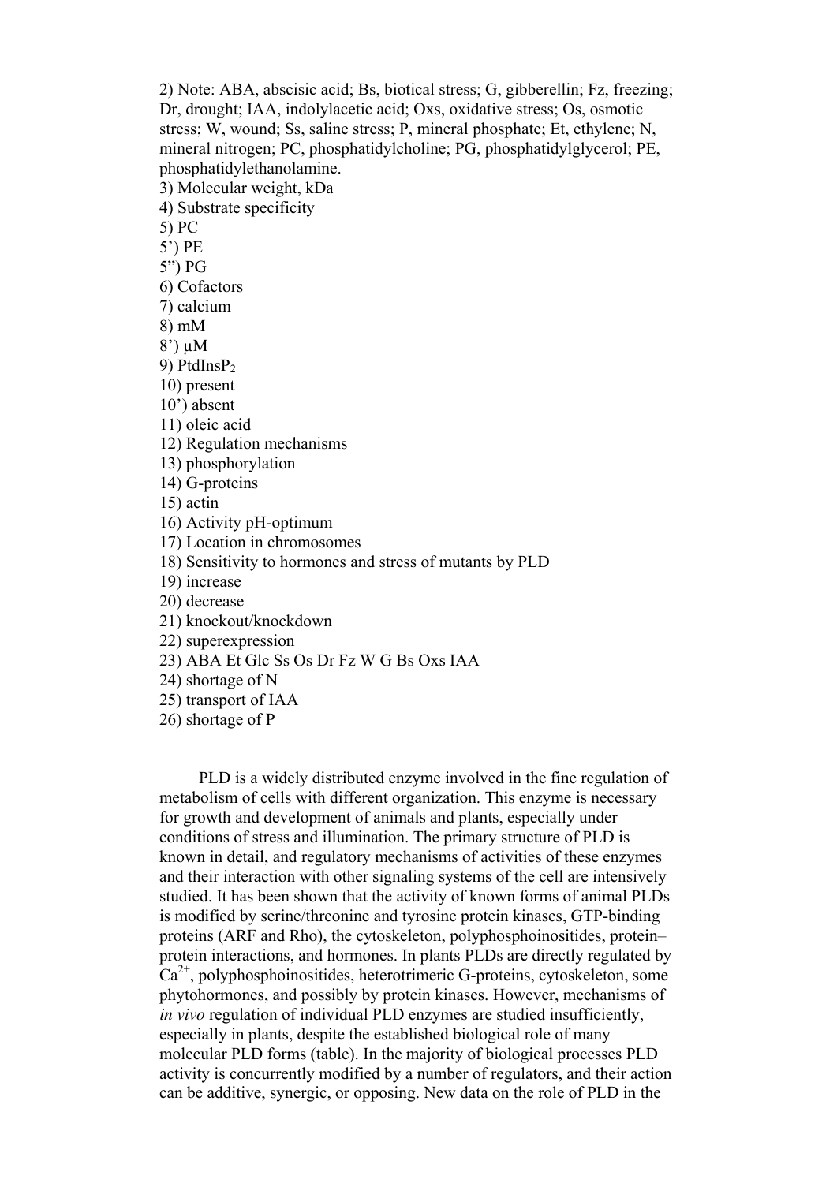2) Note: ABA, abscisic acid; Bs, biotical stress; G, gibberellin; Fz, freezing; Dr, drought; IAA, indolylacetic acid; Oxs, oxidative stress; Os, osmotic stress; W, wound; Ss, saline stress; P, mineral phosphate; Et, ethylene; N, mineral nitrogen; PC, phosphatidylcholine; PG, phosphatidylglycerol; PE, phosphatidylethanolamine. 3) Molecular weight, kDa 4) Substrate specificity 5) PC 5') PE 5") PG 6) Cofactors 7) calcium 8) mM 8') µM 9) PtdInsP<sub>2</sub> 10) present 10') absent 11) oleic acid 12) Regulation mechanisms 13) phosphorylation 14) G-proteins 15) actin 16) Activity pH-optimum 17) Location in chromosomes 18) Sensitivity to hormones and stress of mutants by PLD 19) increase 20) decrease 21) knockout/knockdown 22) superexpression 23) ABA Et Glc Ss Os Dr Fz W G Bs Oxs IAA 24) shortage of N 25) transport of IAA 26) shortage of P

 PLD is a widely distributed enzyme involved in the fine regulation of metabolism of cells with different organization. This enzyme is necessary for growth and development of animals and plants, especially under conditions of stress and illumination. The primary structure of PLD is known in detail, and regulatory mechanisms of activities of these enzymes and their interaction with other signaling systems of the cell are intensively studied. It has been shown that the activity of known forms of animal PLDs is modified by serine/threonine and tyrosine protein kinases, GTP-binding proteins (ARF and Rho), the cytoskeleton, polyphosphoinositides, protein– protein interactions, and hormones. In plants PLDs are directly regulated by  $Ca<sup>2+</sup>$ , polyphosphoinositides, heterotrimeric G-proteins, cytoskeleton, some phytohormones, and possibly by protein kinases. However, mechanisms of *in vivo* regulation of individual PLD enzymes are studied insufficiently, especially in plants, despite the established biological role of many molecular PLD forms (table). In the majority of biological processes PLD activity is concurrently modified by a number of regulators, and their action can be additive, synergic, or opposing. New data on the role of PLD in the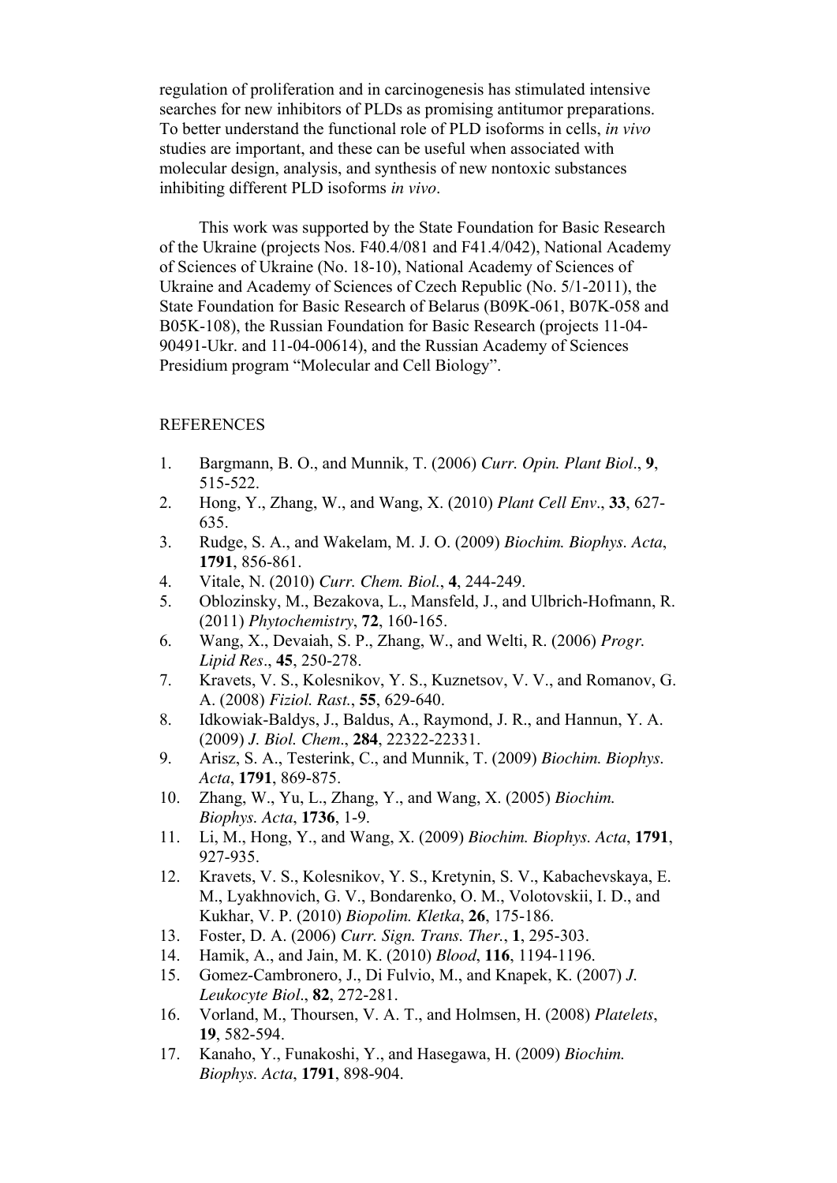regulation of proliferation and in carcinogenesis has stimulated intensive searches for new inhibitors of PLDs as promising antitumor preparations. To better understand the functional role of PLD isoforms in cells, *in vivo*  studies are important, and these can be useful when associated with molecular design, analysis, and synthesis of new nontoxic substances inhibiting different PLD isoforms *in vivo*.

 This work was supported by the State Foundation for Basic Research of the Ukraine (projects Nos. F40.4/081 and F41.4/042), National Academy of Sciences of Ukraine (No. 18-10), National Academy of Sciences of Ukraine and Academy of Sciences of Czech Republic (No. 5/1-2011), the State Foundation for Basic Research of Belarus (B09K-061, B07K-058 and B05K-108), the Russian Foundation for Basic Research (projects 11-04- 90491-Ukr. and 11-04-00614), and the Russian Academy of Sciences Presidium program "Molecular and Cell Biology".

#### **REFERENCES**

- 1. Bargmann, B. O., and Munnik, T. (2006) *Curr. Opin. Plant Biol*., **9**, 515-522.
- 2. Hong, Y., Zhang, W., and Wang, X. (2010) *Plant Cell Env*., **33**, 627- 635.
- 3. Rudge, S. A., and Wakelam, M. J. O. (2009) *Biochim. Biophys. Acta*, **1791**, 856-861.
- 4. Vitale, N. (2010) *Curr. Chem. Biol.*, **4**, 244-249.
- 5. Oblozinsky, M., Bezakova, L., Mansfeld, J., and Ulbrich-Hofmann, R. (2011) *[Phytochemistry](http://www.scopus.com/source/sourceInfo.url?sourceId=16534&origin=recordpage)*, **72**, 160-165.
- 6. Wang, X., Devaiah, S. P., Zhang, W., and Welti, R. (2006) *Progr. Lipid Res*., **45**, 250-278.
- 7. Kravets, V. S., Kolesnikov, Y. S., Kuznetsov, V. V., and Romanov, G. A. (2008) *Fiziol. Rast.*, **55**, 629-640.
- 8. Idkowiak-Baldys, J., Baldus, A., Raymond, J. R., and Hannun, Y. A. (2009) *J. Biol. Chem*., **284**, 22322-22331.
- 9. Arisz, S. A., Testerink, C., and Munnik, T. (2009) *Biochim. Biophys. Acta*, **1791**, 869-875.
- 10. Zhang, W., Yu, L., Zhang, Y., and Wang, X. (2005) *Biochim. Biophys. Acta*, **1736**, 1-9.
- 11. Li, M., Hong, Y., and Wang, X. (2009) *Biochim. Biophys. Acta*, **1791**, 927-935.
- 12. Kravets, V. S., Kolesnikov, Y. S., Kretynin, S. V., Kabachevskaya, E. M., Lyakhnovich, G. V., Bondarenko, O. M., Volotovskii, I. D., and Kukhar, V. P. (2010) *Biopolim. Kletka*, **26**, 175-186.
- 13. Foster, D. A. (2006) *Curr. Sign. Trans. Ther.*, **1**, 295-303.
- 14. Hamik, A., and Jain, M. K. (2010) *Blood*, **116**, 1194-1196.
- 15. Gomez-Cambronero, J., Di Fulvio, M., and Knapek, K. (2007) *J. Leukocyte Biol*., **82**, 272-281.
- 16. Vorland, M., Thoursen, V. A. T., and Holmsen, H. (2008) *Platelets*, **19**, 582-594.
- 17. Kanaho, Y., Funakoshi, Y., and Hasegawa, H. (2009) *Biochim. Biophys. Acta*, **1791**, 898-904.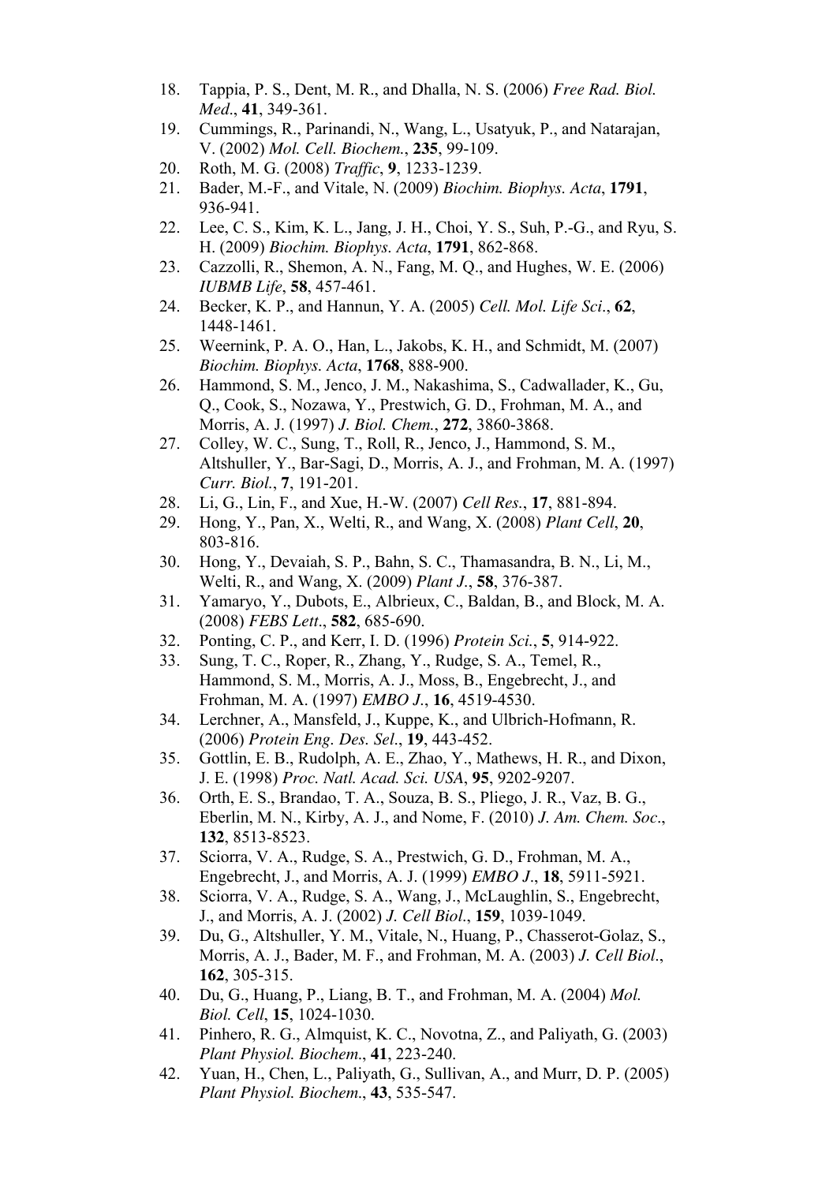- 18. Tappia, P. S., Dent, M. R., and Dhalla, N. S. (2006) *Free Rad. Biol. Med*., **41**, 349-361.
- 19. Cummings, R., Parinandi, N., Wang, L., Usatyuk, P., and Natarajan, V. (2002) *Mol. Cell. Biochem.*, **235**, 99-109.
- 20. Roth, M. G. (2008) *Traffic*, **9**, 1233-1239.
- 21. Bader, M.-F., and Vitale, N. (2009) *Biochim. Biophys. Acta*, **1791**, 936-941.
- 22. Lee, C. S., Kim, K. L., Jang, J. H., Choi, Y. S., Suh, P.-G., and Ryu, S. H. (2009) *Biochim. Biophys. Acta*, **1791**, 862-868.
- 23. Cazzolli, R., Shemon, A. N., Fang, M. Q., and Hughes, W. E. (2006) *IUBMB Life*, **58**, 457-461.
- 24. Becker, K. P., and Hannun, Y. A. (2005) *Cell. Mol. Life Sci*., **62**, 1448-1461.
- 25. Weernink, P. A. O., Han, L., Jakobs, K. H., and Schmidt, M. (2007) *Biochim. Biophys. Acta*, **1768**, 888-900.
- 26. Hammond, S. M., Jenco, J. M., Nakashima, S., Cadwallader, K., Gu, Q., Cook, S., Nozawa, Y., Prestwich, G. D., Frohman, M. A., and Morris, A. J. (1997) *J. Biol. Chem.*, **272**, 3860-3868.
- 27. Colley, W. C., Sung, T., Roll, R., Jenco, J., Hammond, S. M., Altshuller, Y., Bar-Sagi, D., Morris, A. J., and Frohman, M. A. (1997) *Curr. Biol.*, **7**, 191-201.
- 28. Li, G., Lin, F., and Xue, H.-W. (2007) *Cell Res.*, **17**, 881-894.
- 29. Hong, Y., Pan, X., Welti, R., and Wang, X. (2008) *Plant Cell*, **20**, 803-816.
- 30. Hong, Y., Devaiah, S. P., Bahn, S. C., Thamasandra, B. N., Li, M., Welti, R., and Wang, X. (2009) *Plant J.*, **58**, 376-387.
- 31. Yamaryo, Y., Dubots, E., Albrieux, C., Baldan, B., and Block, M. A. (2008) *FEBS Lett*., **582**, 685-690.
- 32. Ponting, C. P., and Kerr, I. D. (1996) *Protein Sci.*, **5**, 914-922.
- 33. Sung, T. C., Roper, R., Zhang, Y., Rudge, S. A., Temel, R., Hammond, S. M., Morris, A. J., Moss, B., Engebrecht, J., and Frohman, M. A. (1997) *EMBO J.*, **16**, 4519-4530.
- 34. Lerchner, A., Mansfeld, J., Kuppe, K., and Ulbrich-Hofmann, R. (2006) *Protein Eng. Des. Sel*., **19**, 443-452.
- 35. Gottlin, E. B., Rudolph, A. E., Zhao, Y., Mathews, H. R., and Dixon, J. E. (1998) *Proc. Natl. Acad. Sci. USA*, **95**, 9202-9207.
- 36. Orth, E. S., Brandao, T. A., Souza, B. S., Pliego, J. R., Vaz, B. G., Eberlin, M. N., Kirby, A. J., and Nome, F. (2010) *J. Am. Chem. Soc*., **132**, 8513-8523.
- 37. Sciorra, V. A., Rudge, S. A., Prestwich, G. D., Frohman, M. A., Engebrecht, J., and Morris, A. J. (1999) *EMBO J*., **18**, 5911-5921.
- 38. Sciorra, V. A., Rudge, S. A., Wang, J., McLaughlin, S., Engebrecht, J., and Morris, A. J. (2002) *J. Cell Biol*., **159**, 1039-1049.
- 39. Du, G., Altshuller, Y. M., Vitale, N., Huang, P., Chasserot-Golaz, S., Morris, A. J., Bader, M. F., and Frohman, M. A. (2003) *J. Cell Biol*., **162**, 305-315.
- 40. Du, G., Huang, P., Liang, B. T., and Frohman, M. A. (2004) *Mol. Biol. Cell*, **15**, 1024-1030.
- 41. Pinhero, R. G., Almquist, K. C., Novotna, Z., and Paliyath, G. (2003) *Plant Physiol. Biochem*., **41**, 223-240.
- 42. Yuan, H., Chen, L., Paliyath, G., Sullivan, A., and Murr, D. P. (2005) *Plant Physiol. Biochem*., **43**, 535-547.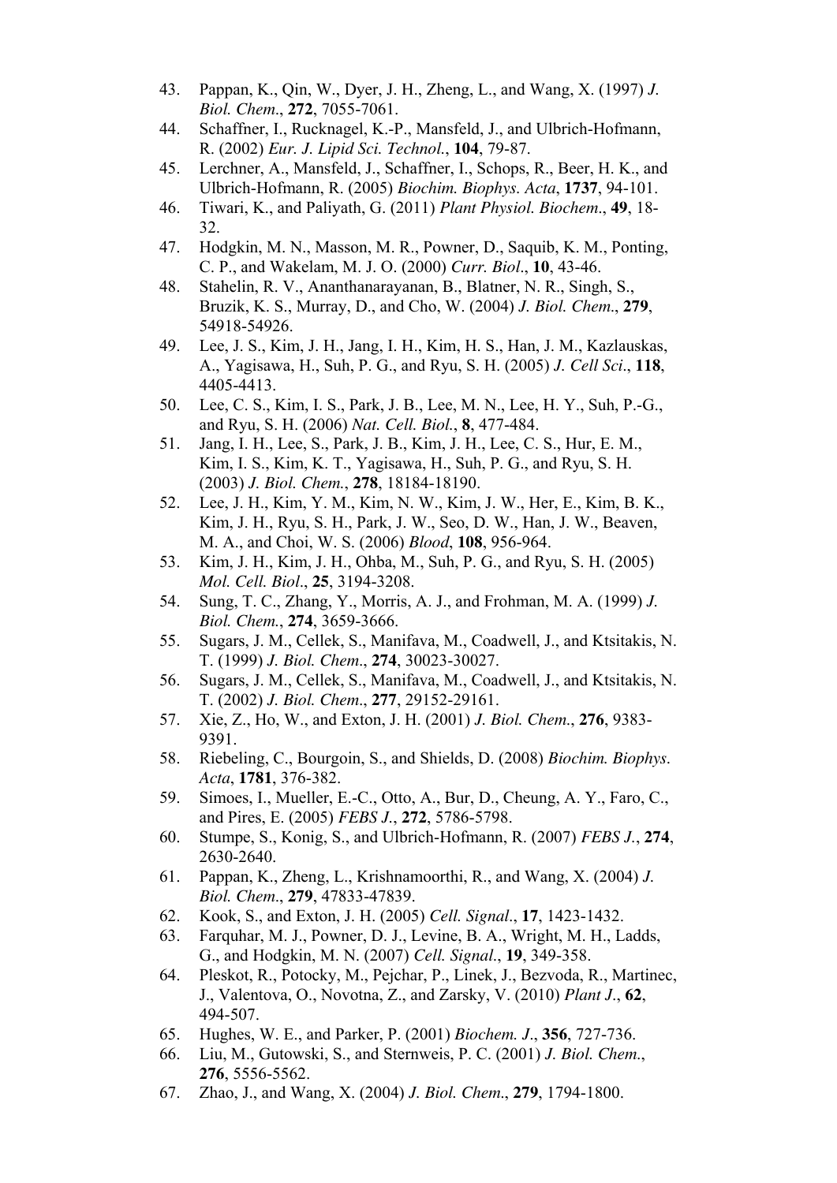- 43. Pappan, K., Qin, W., Dyer, J. H., Zheng, L., and Wang, X. (1997) *J. Biol. Chem*., **272**, 7055-7061.
- 44. Schaffner, I., Rucknagel, K.-P., Mansfeld, J., and Ulbrich-Hofmann, R. (2002) *Eur. J. Lipid Sci. Technol.*, **104**, 79-87.
- 45. Lerchner, A., Mansfeld, J., Schaffner, I., Schops, R., Beer, H. K., and Ulbrich-Hofmann, R. (2005) *Biochim. Biophys. Acta*, **1737**, 94-101.
- 46. Tiwari, K., and Paliyath, G. (2011) *Plant Physiol. Biochem*., **49**, 18- 32.
- 47. Hodgkin, M. N., Masson, M. R., Powner, D., Saquib, K. M., Ponting, C. P., and Wakelam, M. J. O. (2000) *Curr. Biol*., **10**, 43-46.
- 48. Stahelin, R. V., Ananthanarayanan, B., Blatner, N. R., Singh, S., Bruzik, K. S., Murray, D., and Cho, W. (2004) *J. Biol. Chem*., **279**, 54918-54926.
- 49. Lee, J. S., Kim, J. H., Jang, I. H., Kim, H. S., Han, J. M., Kazlauskas, A., Yagisawa, H., Suh, P. G., and Ryu, S. H. (2005) *J. Cell Sci*., **118**, 4405-4413.
- 50. Lee, C. S., Kim, I. S., Park, J. B., Lee, M. N., Lee, H. Y., Suh, P.-G., and Ryu, S. H. (2006) *Nat. Cell. Biol.*, **8**, 477-484.
- 51. Jang, I. H., Lee, S., Park, J. B., Kim, J. H., Lee, C. S., Hur, E. M., Kim, I. S., Kim, K. T., Yagisawa, H., Suh, P. G., and Ryu, S. H. (2003) *J. Biol. Chem.*, **278**, 18184-18190.
- 52. Lee, J. H., Kim, Y. M., Kim, N. W., Kim, J. W., Her, E., Kim, B. K., Kim, J. H., Ryu, S. H., Park, J. W., Seo, D. W., Han, J. W., Beaven, M. A., and Choi, W. S. (2006) *Blood*, **108**, 956-964.
- 53. Kim, J. H., Kim, J. H., Ohba, M., Suh, P. G., and Ryu, S. H. (2005) *Mol. Cell. Biol*., **25**, 3194-3208.
- 54. Sung, T. C., Zhang, Y., Morris, A. J., and Frohman, M. A. (1999) *J. Biol. Chem.*, **274**, 3659-3666.
- 55. Sugars, J. M., Cellek, S., Manifava, M., Coadwell, J., and Ktsitakis, N. T. (1999) *J. Biol. Chem*., **274**, 30023-30027.
- 56. Sugars, J. M., Cellek, S., Manifava, M., Coadwell, J., and Ktsitakis, N. T. (2002) *J. Biol. Chem*., **277**, 29152-29161.
- 57. Xie, Z., Ho, W., and Exton, J. H. (2001) *J. Biol. Chem*., **276**, 9383- 9391.
- 58. Riebeling, C., Bourgoin, S., and Shields, D. (2008) *Biochim. Biophys. Acta*, **1781**, 376-382.
- 59. Simoes, I., Mueller, E.-C., Otto, A., Bur, D., Cheung, A. Y., Faro, C., and Pires, E. (2005) *FEBS J.*, **272**, 5786-5798.
- 60. Stumpe, S., Konig, S., and Ulbrich-Hofmann, R. (2007) *FEBS J.*, **274**, 2630-2640.
- 61. Pappan, K., Zheng, L., Krishnamoorthi, R., and Wang, X. (2004) *J. Biol. Chem*., **279**, 47833-47839.
- 62. Kook, S., and Exton, J. H. (2005) *Cell. Signal*., **17**, 1423-1432.
- 63. Farquhar, M. J., Powner, D. J., Levine, B. A., Wright, M. H., Ladds, G., and Hodgkin, M. N. (2007) *Cell. Signal*., **19**, 349-358.
- 64. Pleskot, R., Potocky, M., Pejchar, P., Linek, J., Bezvoda, R., Martinec, J., Valentova, O., Novotna, Z., and Zarsky, V. (2010) *Plant J*., **62**, 494-507.
- 65. Hughes, W. E., and Parker, P. (2001) *Biochem. J*., **356**, 727-736.
- 66. Liu, M., Gutowski, S., and Sternweis, P. C. (2001) *J. Biol. Chem*., **276**, 5556-5562.
- 67. Zhao, J., and Wang, X. (2004) *J. Biol. Chem*., **279**, 1794-1800.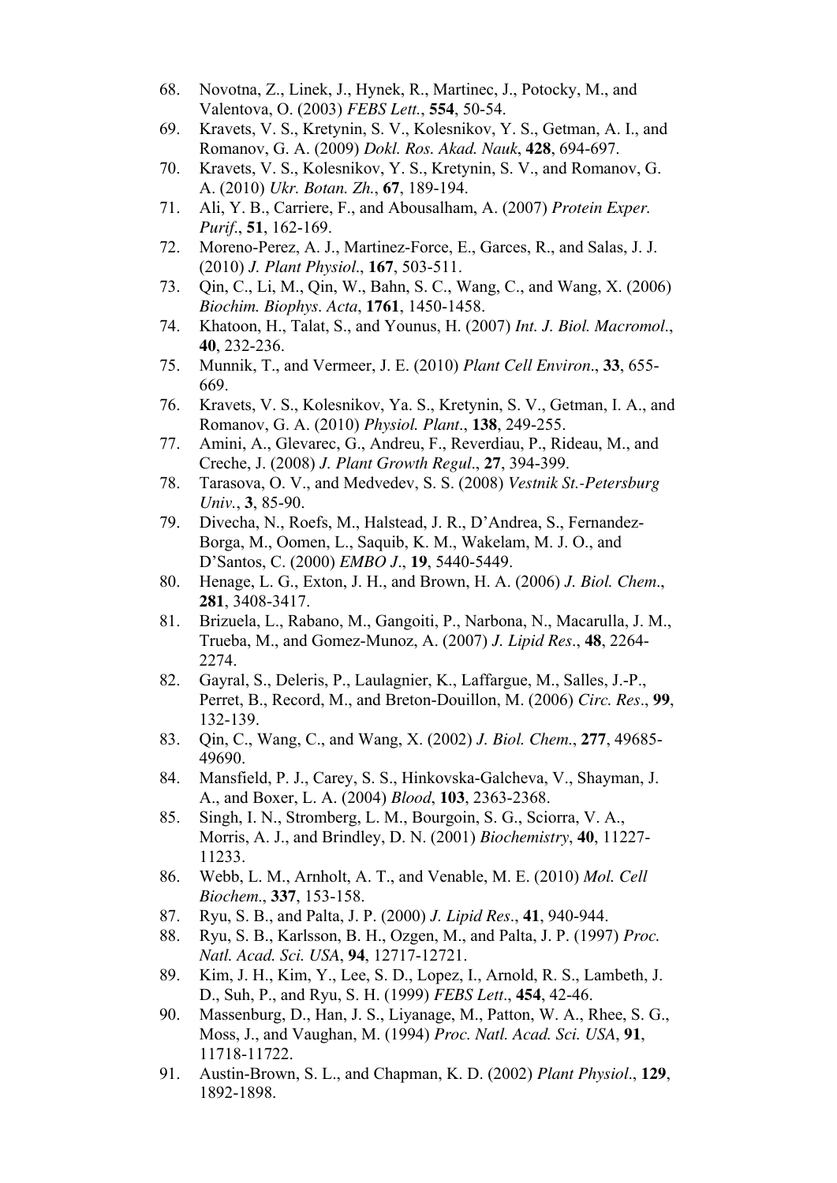- 68. Novotna, Z., Linek, J., Hynek, R., Martinec, J., Potocky, M., and Valentova, O. (2003) *FEBS Lett.*, **554**, 50-54.
- 69. Kravets, V. S., Kretynin, S. V., Kolesnikov, Y. S., Getman, A. I., and Romanov, G. A. (2009) *Dokl. Ros. Akad. Nauk*, **428**, 694-697.
- 70. Kravets, V. S., Kolesnikov, Y. S., Kretynin, S. V., and Romanov, G. A. (2010) *Ukr. Botan. Zh.*, **67**, 189-194.
- 71. Ali, Y. B., Carriere, F., and Abousalham, A. (2007) *Protein Exper. Purif*., **51**, 162-169.
- 72. Moreno-Perez, A. J., Martinez-Force, E., Garces, R., and Salas, J. J. (2010) *J. Plant Physiol*., **167**, 503-511.
- 73. Qin, C., Li, M., Qin, W., Bahn, S. C., Wang, C., and Wang, X. (2006) *Biochim. Biophys. Acta*, **1761**, 1450-1458.
- 74. Khatoon, H., Talat, S., and Younus, H. (2007) *Int. J. Biol. Macromol*., **40**, 232-236.
- 75. Munnik, T., and Vermeer, J. E. (2010) *Plant Cell Environ*., **33**, 655- 669.
- 76. Kravets, V. S., Kolesnikov, Ya. S., Kretynin, S. V., Getman, I. A., and Romanov, G. A. (2010) *Physiol. Plant*., **138**, 249-255.
- 77. Amini, A., Glevarec, G., Andreu, F., Reverdiau, P., Rideau, M., and Creche, J. (2008) *J. Plant Growth Regul*., **27**, 394-399.
- 78. Tarasova, O. V., and Medvedev, S. S. (2008) *Vestnik St.-Petersburg Univ.*, **3**, 85-90.
- 79. Divecha, N., Roefs, M., Halstead, J. R., D'Andrea, S., Fernandez-Borga, M., Oomen, L., Saquib, K. M., Wakelam, M. J. O., and D'Santos, C. (2000) *EMBO J*., **19**, 5440-5449.
- 80. Henage, L. G., Exton, J. H., and Brown, H. A. (2006) *J. Biol. Chem*., **281**, 3408-3417.
- 81. Brizuela, L., Rabano, M., Gangoiti, P., Narbona, N., Macarulla, J. M., Trueba, M., and Gomez-Munoz, A. (2007) *J. Lipid Res*., **48**, 2264- 2274.
- 82. Gayral, S., Deleris, P., Laulagnier, K., Laffargue, M., Salles, J.-P., Perret, B., Record, M., and Breton-Douillon, M. (2006) *Circ. Res*., **99**, 132-139.
- 83. Qin, C., Wang, C., and Wang, X. (2002) *J. Biol. Chem*., **277**, 49685- 49690.
- 84. Mansfield, P. J., Carey, S. S., Hinkovska-Galcheva, V., Shayman, J. A., and Boxer, L. A. (2004) *Blood*, **103**, 2363-2368.
- 85. Singh, I. N., Stromberg, L. M., Bourgoin, S. G., Sciorra, V. A., Morris, A. J., and Brindley, D. N. (2001) *Biochemistry*, **40**, 11227- 11233.
- 86. Webb, L. M., Arnholt, A. T., and Venable, M. E. (2010) *Mol. Cell Biochem*., **337**, 153-158.
- 87. Ryu, S. B., and Palta, J. P. (2000) *J. Lipid Res*., **41**, 940-944.
- 88. Ryu, S. B., Karlsson, B. H., Ozgen, M., and Palta, J. P. (1997) *Proc. Natl. Acad. Sci. USA*, **94**, 12717-12721.
- 89. Kim, J. H., Kim, Y., Lee, S. D., Lopez, I., Arnold, R. S., Lambeth, J. D., Suh, P., and Ryu, S. H. (1999) *FEBS Lett*., **454**, 42-46.
- 90. Massenburg, D., Han, J. S., Liyanage, M., Patton, W. A., Rhee, S. G., Moss, J., and Vaughan, M. (1994) *Proc. Natl. Acad. Sci. USA*, **91**, 11718-11722.
- 91. Austin-Brown, S. L., and Chapman, K. D. (2002) *Plant Physiol*., **129**, 1892-1898.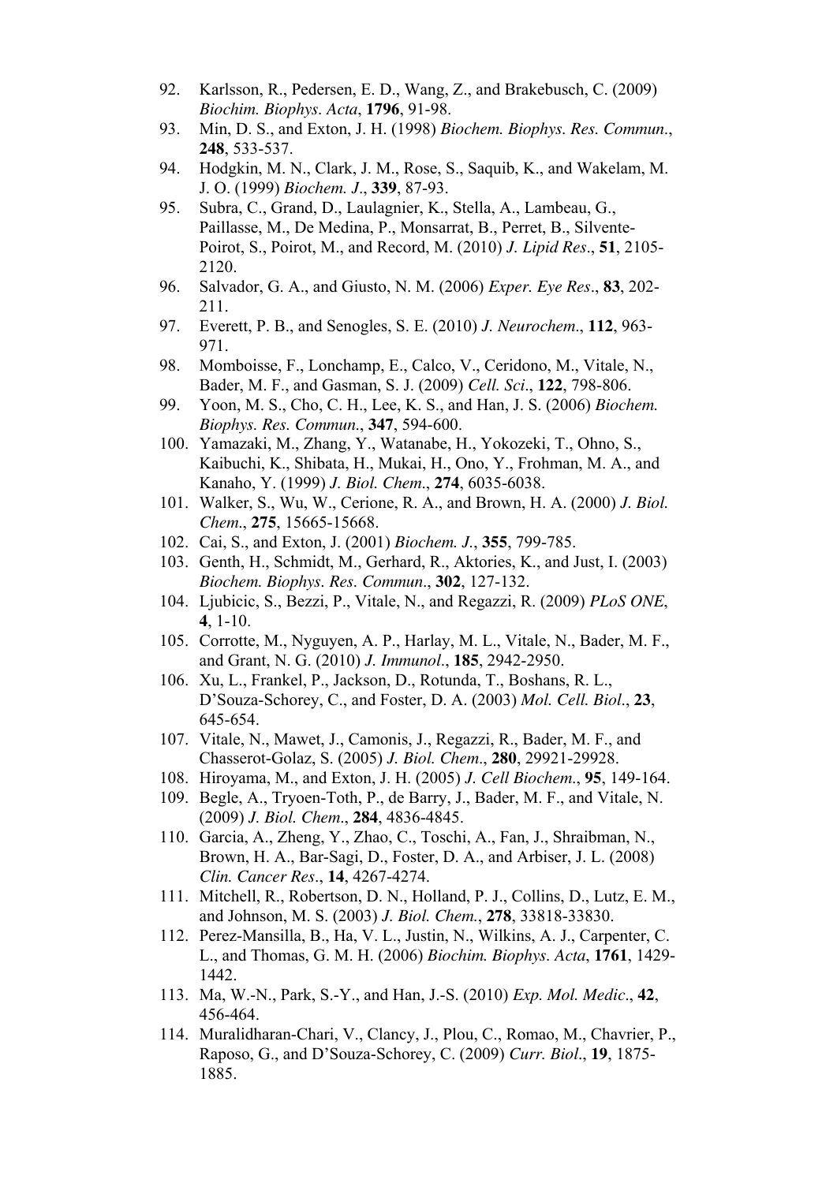- 92. Karlsson, R., Pedersen, E. D., Wang, Z., and Brakebusch, C. (2009) *Biochim. Biophys. Acta*, **1796**, 91-98.
- 93. Min, D. S., and Exton, J. H. (1998) *Biochem. Biophys. Res. Commun*., **248**, 533-537.
- 94. Hodgkin, M. N., Clark, J. M., Rose, S., Saquib, K., and Wakelam, M. J. O. (1999) *Biochem. J*., **339**, 87-93.
- 95. Subra, C., Grand, D., Laulagnier, K., Stella, A., Lambeau, G., Paillasse, M., De Medina, P., Monsarrat, B., Perret, B., Silvente-Poirot, S., Poirot, M., and Record, M. (2010) *J. Lipid Res*., **51**, 2105- 2120.
- 96. Salvador, G. A., and Giusto, N. M. (2006) *Exper. Eye Res*., **83**, 202- 211.
- 97. Everett, P. B., and Senogles, S. E. (2010) *J. Neurochem*., **112**, 963- 971.
- 98. Momboisse, F., Lonchamp, E., Calco, V., Ceridono, M., Vitale, N., Bader, M. F., and Gasman, S. J. (2009) *Cell. Sci*., **122**, 798-806.
- 99. Yoon, M. S., Cho, C. H., Lee, K. S., and Han, J. S. (2006) *Biochem. Biophys. Res. Commun*., **347**, 594-600.
- 100. Yamazaki, M., Zhang, Y., Watanabe, H., Yokozeki, T., Ohno, S., Kaibuchi, K., Shibata, H., Mukai, H., Ono, Y., Frohman, M. A., and Kanaho, Y. (1999) *J. Biol. Chem*., **274**, 6035-6038.
- 101. Walker, S., Wu, W., Cerione, R. A., and Brown, H. A. (2000) *J. Biol. Chem*., **275**, 15665-15668.
- 102. Cai, S., and Exton, J. (2001) *Biochem. J.*, **355**, 799-785.
- 103. Genth, H., Schmidt, M., Gerhard, R., Aktories, K., and Just, I. (2003) *Biochem. Biophys. Res. Commun*., **302**, 127-132.
- 104. Ljubicic, S., Bezzi, P., Vitale, N., and Regazzi, R. (2009) *PLoS ONE*, **4**, 1-10.
- 105. Corrotte, M., Nyguyen, A. P., Harlay, M. L., Vitale, N., Bader, M. F., and Grant, N. G. (2010) *J. Immunol*., **185**, 2942-2950.
- 106. Xu, L., Frankel, P., Jackson, D., Rotunda, T., Boshans, R. L., D'Souza-Schorey, C., and Foster, D. A. (2003) *Mol. Cell. Biol*., **23**, 645-654.
- 107. Vitale, N., Mawet, J., Camonis, J., Regazzi, R., Bader, M. F., and Chasserot-Golaz, S. (2005) *J. Biol. Chem*., **280**, 29921-29928.
- 108. Hiroyama, M., and Exton, J. H. (2005) *J. Cell Biochem*., **95**, 149-164.
- 109. Begle, A., Tryoen-Toth, P., de Barry, J., Bader, M. F., and [Vitale, N](http://www.ncbi.nlm.nih.gov/pubmed?term=%22Vitale%20N%22%5BAuthor%5D). (2009) *J. Biol. Chem*., **284**, 4836-4845.
- 110. Garcia, A., Zheng, Y., Zhao, C., Toschi, A., Fan, J., Shraibman, N., Brown, H. A., Bar-Sagi, D., Foster, D. A., and Arbiser, J. L. (2008) *Clin. Cancer Res*., **14**, 4267-4274.
- 111. Mitchell, R., Robertson, D. N., Holland, P. J., Collins, D., Lutz, E. M., and Johnson, M. S. (2003) *J. Biol. Chem.*, **278**, 33818-33830.
- 112. Perez-Mansilla, B., Ha, V. L., Justin, N., Wilkins, A. J., Carpenter, C. L., and Thomas, G. M. H. (2006) *Biochim. Biophys. Acta*, **1761**, 1429- 1442.
- 113. Ma, W.-N., Park, S.-Y., and Han, J.-S. (2010) *Exp. Mol. Medic*., **42**, 456-464.
- 114. Muralidharan-Chari, V., Clancy, J., Plou, C., Romao, M., Chavrier, P., Raposo, G., and D'Souza-Schorey, C. (2009) *Curr. Biol*., **19**, 1875- 1885.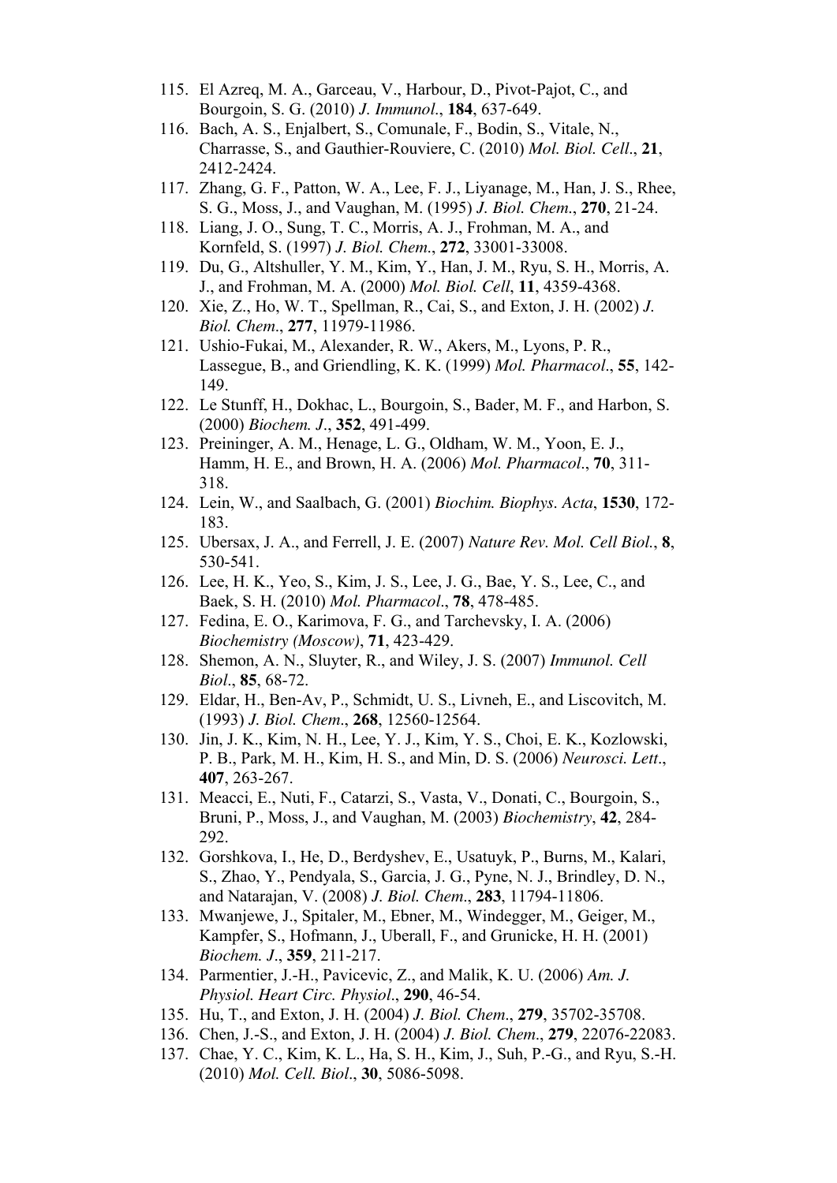- 115. El Azreq, M. A., Garceau, V., Harbour, D., Pivot-Pajot, C., and Bourgoin, S. G. (2010) *J. Immunol*., **184**, 637-649.
- 116. Bach, A. S., Enjalbert, S., Comunale, F., Bodin, S., Vitale, N., Charrasse, S., and Gauthier-Rouviere, C. (2010) *Mol. Biol. Cell*., **21**, 2412-2424.
- 117. Zhang, G. F., Patton, W. A., Lee, F. J., Liyanage, M., Han, J. S., Rhee, S. G., Moss, J., and Vaughan, M. (1995) *J. Biol. Chem*., **270**, 21-24.
- 118. Liang, J. O., Sung, T. C., Morris, A. J., Frohman, M. A., and Kornfeld, S. (1997) *J. Biol. Chem*., **272**, 33001-33008.
- 119. Du, G., Altshuller, Y. M., Kim, Y., Han, J. M., Ryu, S. H., Morris, A. J., and Frohman, M. A. (2000) *Mol. Biol. Cell*, **11**, 4359-4368.
- 120. Xie, Z., Ho, W. T., Spellman, R., Cai, S., and Exton, J. H. (2002) *J. Biol. Chem*., **277**, 11979-11986.
- 121. Ushio-Fukai, M., Alexander, R. W., Akers, M., Lyons, P. R., Lassegue, B., and Griendling, K. K. (1999) *Mol. Pharmacol*., **55**, 142- 149.
- 122. Le Stunff, H., Dokhac, L., Bourgoin, S., Bader, M. F., and Harbon, S. (2000) *Biochem. J*., **352**, 491-499.
- 123. Preininger, A. M., Henage, L. G., Oldham, W. M., Yoon, E. J., Hamm, H. E., and Brown, H. A. (2006) *Mol. Pharmacol*., **70**, 311- 318.
- 124. Lein, W., and Saalbach, G. (2001) *Biochim. Biophys. Acta*, **1530**, 172- 183.
- 125. Ubersax, J. A., and Ferrell, J. E. (2007) *Nature Rev. Mol. Cell Biol.*, **8**, 530-541.
- 126. Lee, H. K., Yeo, S., Kim, J. S., Lee, J. G., Bae, Y. S., Lee, C., and Baek, S. H. (2010) *Mol. Pharmacol*., **78**, 478-485.
- 127. Fedina, E. O., Karimova, F. G., and Tarchevsky, I. A. (2006) *Biochemistry (Moscow)*, **71**, 423-429.
- 128. Shemon, A. N., Sluyter, R., and Wiley, J. S. (2007) *Immunol. Cell Biol*., **85**, 68-72.
- 129. Eldar, H., Ben-Av, P., Schmidt, U. S., Livneh, E., and Liscovitch, M. (1993) *J. Biol. Chem*., **268**, 12560-12564.
- 130. Jin, J. K., Kim, N. H., Lee, Y. J., Kim, Y. S., Choi, E. K., Kozlowski, P. B., Park, M. H., Kim, H. S., and Min, D. S. (2006) *Neurosci. Lett*., **407**, 263-267.
- 131. Meacci, E., Nuti, F., Catarzi, S., Vasta, V., Donati, C., Bourgoin, S., Bruni, P., Moss, J., and Vaughan, M. (2003) *Biochemistry*, **42**, 284- 292.
- 132. Gorshkova, I., He, D., Berdyshev, E., Usatuyk, P., Burns, M., Kalari, S., Zhao, Y., Pendyala, S., Garcia, J. G., Pyne, N. J., Brindley, D. N., and Natarajan, V. (2008) *J. Biol. Chem*., **283**, 11794-11806.
- 133. Mwanjewe, J., Spitaler, M., Ebner, M., Windegger, M., Geiger, M., Kampfer, S., Hofmann, J., Uberall, F., and Grunicke, H. H. (2001) *Biochem. J*., **359**, 211-217.
- 134. Parmentier, J.-H., Pavicevic, Z., and Malik, K. U. (2006) *Am. J. Physiol. Heart Circ. Physiol*., **290**, 46-54.
- 135. Hu, T., and Exton, J. H. (2004) *J. Biol. Chem*., **279**, 35702-35708.
- 136. Chen, J.-S., and Exton, J. H. (2004) *J. Biol. Chem*., **279**, 22076-22083.
- 137. Chae, Y. C., Kim, K. L., Ha, S. H., Kim, J., Suh, P.-G., and Ryu, S.-H. (2010) *Mol. Cell. Biol*., **30**, 5086-5098.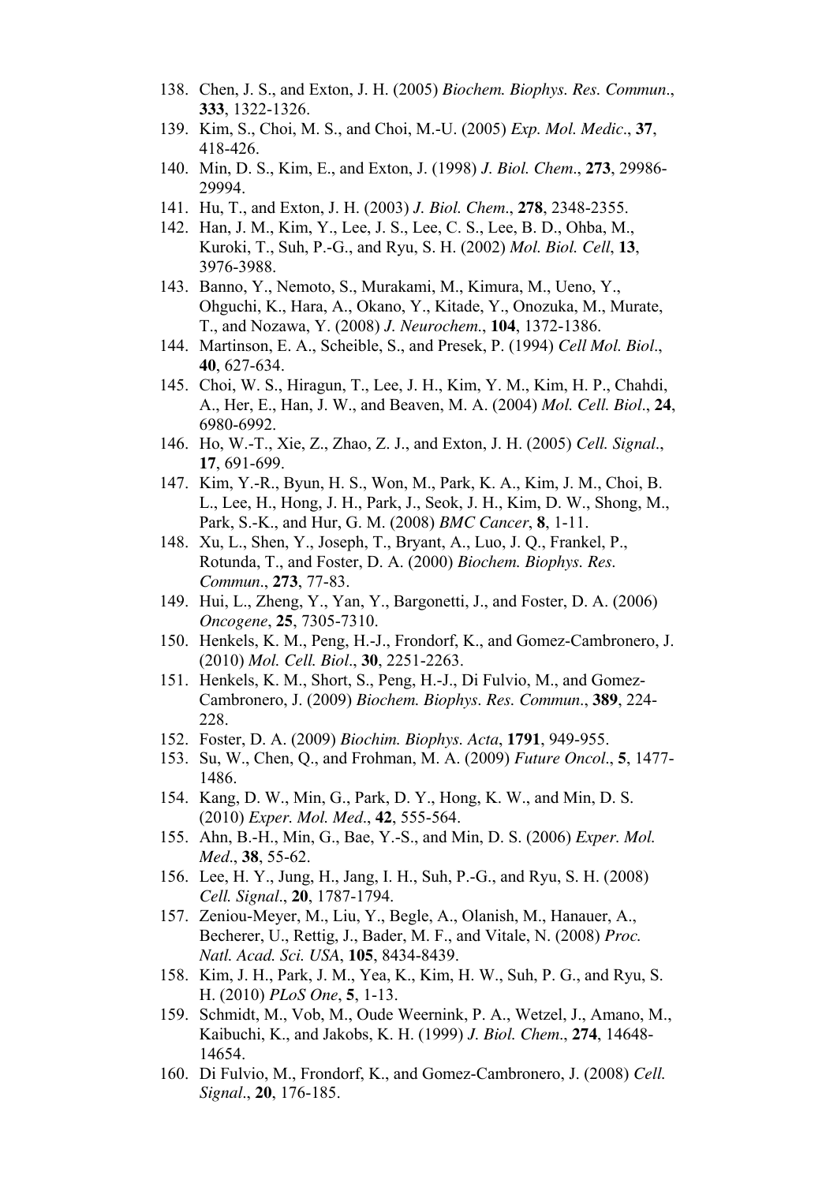- 138. Chen, J. S., and Exton, J. H. (2005) *Biochem. Biophys. Res. Commun*., **333**, 1322-1326.
- 139. Kim, S., Choi, M. S., and Choi, M.-U. (2005) *Exp. Mol. Medic*., **37**, 418-426.
- 140. Min, D. S., Kim, E., and Exton, J. (1998) *J. Biol. Chem*., **273**, 29986- 29994.
- 141. Hu, T., and Exton, J. H. (2003) *J. Biol. Chem*., **278**, 2348-2355.
- 142. Han, J. M., Kim, Y., Lee, J. S., Lee, C. S., Lee, B. D., Ohba, M., Kuroki, T., Suh, P.-G., and Ryu, S. H. (2002) *Mol. Biol. Cell*, **13**, 3976-3988.
- 143. Banno, Y., Nemoto, S., Murakami, M., Kimura, M., Ueno, Y., Ohguchi, K., Hara, A., Okano, Y., Kitade, Y., Onozuka, M., Murate, T., and Nozawa, Y. (2008) *J. Neurochem*., **104**, 1372-1386.
- 144. Martinson, E. A., Scheible, S., and Presek, P. (1994) *Cell Mol. Biol*., **40**, 627-634.
- 145. Choi, W. S., Hiragun, T., Lee, J. H., Kim, Y. M., Kim, H. P., Chahdi, A., Her, E., Han, J. W., and Beaven, M. A. (2004) *Mol. Cell. Biol*., **24**, 6980-6992.
- 146. Ho, W.-T., Xie, Z., Zhao, Z. J., and Exton, J. H. (2005) *Cell. Signal*., **17**, 691-699.
- 147. Kim, Y.-R., Byun, H. S., Won, M., Park, K. A., Kim, J. M., Choi, B. L., Lee, H., Hong, J. H., Park, J., Seok, J. H., Kim, D. W., Shong, M., Park, S.-K., and Hur, G. M. (2008) *BMC Cancer*, **8**, 1-11.
- 148. Xu, L., Shen, Y., Joseph, T., Bryant, A., Luo, J. Q., Frankel, P., Rotunda, T., and Foster, D. A. (2000) *Biochem. Biophys. Res. Commun*., **273**, 77-83.
- 149. Hui, L., Zheng, Y., Yan, Y., Bargonetti, J., and Foster, D. A. (2006) *Oncogene*, **25**, 7305-7310.
- 150. Henkels, K. M., Peng, H.-J., Frondorf, K., and Gomez-Cambronero, J. (2010) *Mol. Cell. Biol*., **30**, 2251-2263.
- 151. Henkels, K. M., Short, S., Peng, H.-J., Di Fulvio, M., and Gomez-Cambronero, J. (2009) *Biochem. Biophys. Res. Commun*., **389**, 224- 228.
- 152. Foster, D. A. (2009) *Biochim. Biophys. Acta*, **1791**, 949-955.
- 153. Su, W., Chen, Q., and Frohman, M. A. (2009) *Future Oncol*., **5**, 1477- 1486.
- 154. Kang, D. W., Min, G., Park, D. Y., Hong, K. W., and Min, D. S. (2010) *Exper. Mol. Med*., **42**, 555-564.
- 155. Ahn, B.-H., Min, G., Bae, Y.-S., and Min, D. S. (2006) *Exper. Mol. Med*., **38**, 55-62.
- 156. Lee, H. Y., Jung, H., Jang, I. H., Suh, P.-G., and Ryu, S. H. (2008) *Cell. Signal*., **20**, 1787-1794.
- 157. Zeniou-Meyer, M., Liu, Y., Begle, A., Olanish, M., Hanauer, A., Becherer, U., Rettig, J., Bader, M. F., and Vitale, N. (2008) *Proc. Natl. Acad. Sci. USA*, **105**, 8434-8439.
- 158. Kim, J. H., Park, J. M., Yea, K., Kim, H. W., Suh, P. G., and Ryu, S. H. (2010) *PLoS One*, **5**, 1-13.
- 159. Schmidt, M., Vob, M., Oude Weernink, P. A., Wetzel, J., Amano, M., Kaibuchi, K., and Jakobs, K. H. (1999) *J. Biol. Chem*., **274**, 14648- 14654.
- 160. Di Fulvio, M., Frondorf, K., and Gomez-Cambronero, J. (2008) *Cell. Signal*., **20**, 176-185.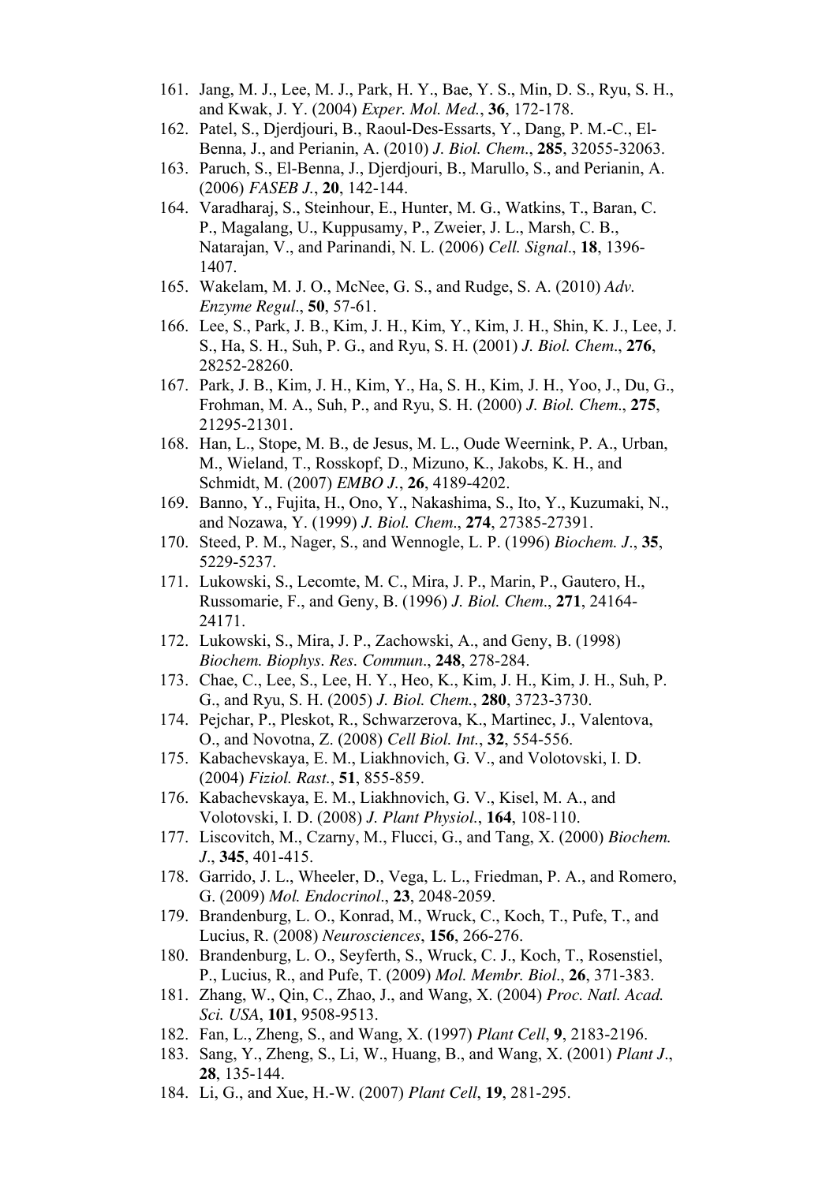- 161. Jang, M. J., Lee, M. J., Park, H. Y., Bae, Y. S., Min, D. S., Ryu, S. H., and Kwak, J. Y. (2004) *Exper. Mol. Med.*, **36**, 172-178.
- 162. Patel, S., Djerdjouri, B., Raoul-Des-Essarts, Y., Dang, P. M.-C., El-Benna, J., and Perianin, A. (2010) *J. Biol. Chem*., **285**, 32055-32063.
- 163. Paruch, S., El-Benna, J., Djerdjouri, B., Marullo, S., and Perianin, A. (2006) *FASEB J.*, **20**, 142-144.
- 164. Varadharaj, S., Steinhour, E., Hunter, M. G., Watkins, T., Baran, C. P., Magalang, U., Kuppusamy, P., Zweier, J. L., Marsh, C. B., Natarajan, V., and Parinandi, N. L. (2006) *Cell. Signal*., **18**, 1396- 1407.
- 165. Wakelam, M. J. O., McNee, G. S., and Rudge, S. A. (2010) *Adv. Enzyme Regul*., **50**, 57-61.
- 166. Lee, S., Park, J. B., Kim, J. H., Kim, Y., Kim, J. H., Shin, K. J., Lee, J. S., Ha, S. H., Suh, P. G., and Ryu, S. H. (2001) *J. Biol. Chem*., **276**, 28252-28260.
- 167. Park, J. B., Kim, J. H., Kim, Y., Ha, S. H., Kim, J. H., Yoo, J., Du, G., Frohman, M. A., Suh, P., and Ryu, S. H. (2000) *J. Biol. Chem*., **275**, 21295-21301.
- 168. Han, L., Stope, M. B., de Jesus, M. L., Oude Weernink, P. A., Urban, M., Wieland, T., Rosskopf, D., Mizuno, K., Jakobs, K. H., and Schmidt, M. (2007) *EMBO J.*, **26**, 4189-4202.
- 169. Banno, Y., Fujita, H., Ono, Y., Nakashima, S., Ito, Y., Kuzumaki, N., and Nozawa, Y. (1999) *J. Biol. Chem*., **274**, 27385-27391.
- 170. Steed, P. M., Nager, S., and Wennogle, L. P. (1996) *Biochem. J*., **35**, 5229-5237.
- 171. Lukowski, S., Lecomte, M. C., Mira, J. P., Marin, P., Gautero, H., Russomarie, F., and Geny, B. (1996) *J. Biol. Chem*., **271**, 24164- 24171.
- 172. Lukowski, S., Mira, J. P., Zachowski, A., and Geny, B. (1998) *Biochem. Biophys. Res. Commun*., **248**, 278-284.
- 173. Chae, C., Lee, S., Lee, H. Y., Heo, K., Kim, J. H., Kim, J. H., Suh, P. G., and Ryu, S. H. (2005) *J. Biol. Chem.*, **280**, 3723-3730.
- 174. Pejchar, P., Pleskot, R., Schwarzerova, K., Martinec, J., Valentova, O., and Novotna, Z. (2008) *Cell Biol. Int.*, **32**, 554-556.
- 175. Kabachevskaya, E. M., Liakhnovich, G. V., and Volotovski, I. D. (2004) *Fiziol. Rast.*, **51**, 855-859.
- 176. Kabachevskaya, E. M., Liakhnovich, G. V., Kisel, M. A., and Volotovski, I. D. (2008) *J. Plant Physiol.*, **164**, 108-110.
- 177. Liscovitch, M., Czarny, M., Flucci, G., and Tang, X. (2000) *Biochem. J*., **345**, 401-415.
- 178. Garrido, J. L., Wheeler, D., Vega, L. L., Friedman, P. A., and Romero, G. (2009) *Mol. Endocrinol*., **23**, 2048-2059.
- 179. Brandenburg, L. O., Konrad, M., Wruck, C., Koch, T., Pufe, T., and Lucius, R. (2008) *Neurosciences*, **156**, 266-276.
- 180. Brandenburg, L. O., Seyferth, S., Wruck, C. J., Koch, T., Rosenstiel, P., Lucius, R., and Pufe, T. (2009) *Mol. Membr. Biol*., **26**, 371-383.
- 181. Zhang, W., Qin, C., Zhao, J., and Wang, X. (2004) *Proc. Natl. Acad. Sci. USA*, **101**, 9508-9513.
- 182. Fan, L., Zheng, S., and Wang, X. (1997) *Plant Cell*, **9**, 2183-2196.
- 183. Sang, Y., Zheng, S., Li, W., Huang, B., and Wang, X. (2001) *Plant J*., **28**, 135-144.
- 184. Li, G., and Xue, H.-W. (2007) *Plant Cell*, **19**, 281-295.